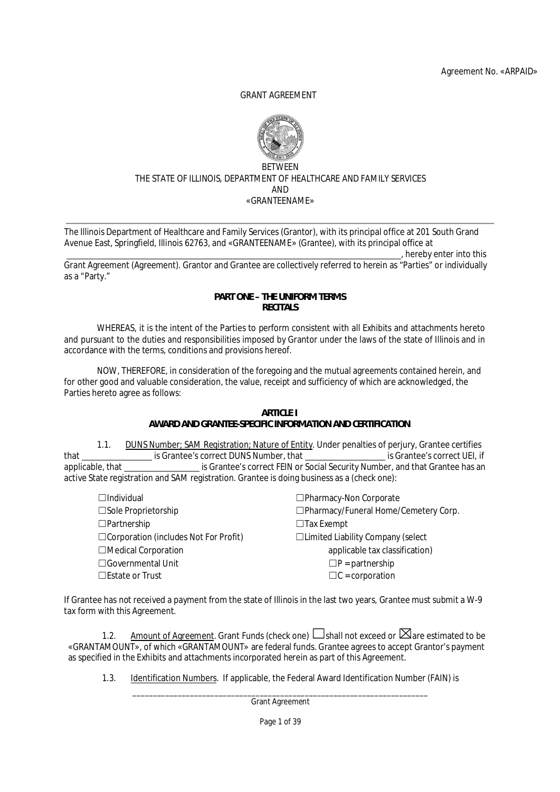## GRANT AGREEMENT



### **BETWEEN** THE STATE OF ILLINOIS, DEPARTMENT OF HEALTHCARE AND FAMILY SERVICES AND «GRANTEENAME»

The Illinois Department of Healthcare and Family Services (Grantor), with its principal office at 201 South Grand Avenue East, Springfield, Illinois 62763, and «GRANTEENAME» (Grantee), with its principal office at , hereby enter into this

Grant Agreement (Agreement). Grantor and Grantee are collectively referred to herein as "Parties" or individually as a "Party."

# **PART ONE – THE UNIFORM TERMS RECITALS**

WHEREAS, it is the intent of the Parties to perform consistent with all Exhibits and attachments hereto and pursuant to the duties and responsibilities imposed by Grantor under the laws of the state of Illinois and in accordance with the terms, conditions and provisions hereof.

NOW, THEREFORE, in consideration of the foregoing and the mutual agreements contained herein, and for other good and valuable consideration, the value, receipt and sufficiency of which are acknowledged, the Parties hereto agree as follows:

### **ARTICLE I AWARD AND GRANTEE-SPECIFIC INFORMATION AND CERTIFICATION**

1.1. DUNS Number; SAM Registration; Nature of Entity. Under penalties of perjury, Grantee certifies that is Grantee's correct DUNS Number, that is Grantee's correct UEI, if applicable, that is Grantee's correct FEIN or Social Security Number, and that Grantee has an active State registration and SAM registration. Grantee is doing business as a (check one):

| $\Box$ Individual                            | □Pharmacy-Non Corporate                  |
|----------------------------------------------|------------------------------------------|
| $\square$ Sole Proprietorship                | □Pharmacy/Funeral Home/Cemetery Corp.    |
| $\Box$ Partnership                           | $\Box$ Tax Exempt                        |
| $\Box$ Corporation (includes Not For Profit) | $\Box$ Limited Liability Company (select |
| □Medical Corporation                         | applicable tax classification)           |
| $\Box$ Governmental Unit                     | $\Box P$ = partnership                   |
| $\Box$ Estate or Trust                       | $\Box C$ = corporation                   |
|                                              |                                          |

If Grantee has not received a payment from the state of Illinois in the last two years, Grantee must submit a W-9 tax form with this Agreement.

1.2. Amount of Agreement. Grant Funds (check one)  $\square$  shall not exceed or  $\boxtimes$  are estimated to be «GRANTAMOUNT», of which «GRANTAMOUNT» are federal funds. Grantee agrees to accept Grantor's payment as specified in the Exhibits and attachments incorporated herein as part of this Agreement.

1.3. Identification Numbers. If applicable, the Federal Award Identification Number (FAIN) is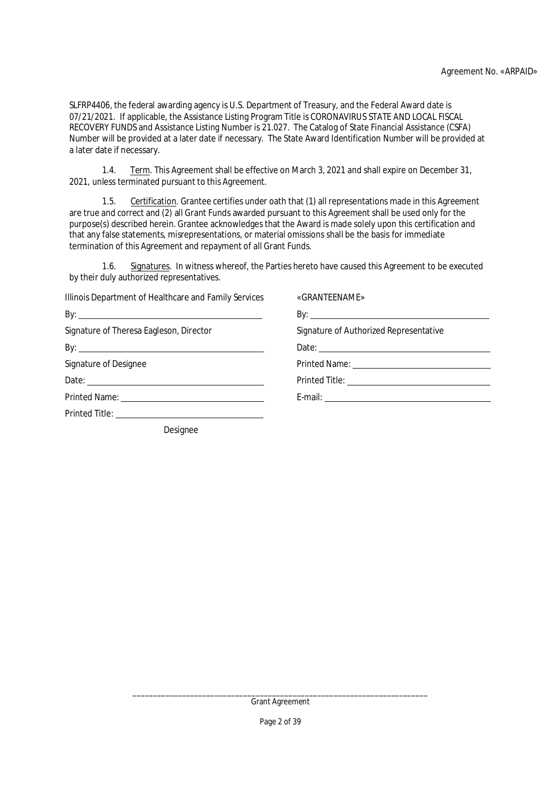SLFRP4406, the federal awarding agency is U.S. Department of Treasury, and the Federal Award date is 07/21/2021. If applicable, the Assistance Listing Program Title is CORONAVIRUS STATE AND LOCAL FISCAL RECOVERY FUNDS and Assistance Listing Number is 21.027. The Catalog of State Financial Assistance (CSFA) Number will be provided at a later date if necessary. The State Award Identification Number will be provided at a later date if necessary.

1.4. Term. This Agreement shall be effective on March 3, 2021 and shall expire on December 31, 2021, unless terminated pursuant to this Agreement.

1.5. Certification. Grantee certifies under oath that (1) all representations made in this Agreement are true and correct and (2) all Grant Funds awarded pursuant to this Agreement shall be used only for the purpose(s) described herein. Grantee acknowledges that the Award is made solely upon this certification and that any false statements, misrepresentations, or material omissions shall be the basis for immediate termination of this Agreement and repayment of all Grant Funds.

1.6. Signatures. In witness whereof, the Parties hereto have caused this Agreement to be executed by their duly authorized representatives.

| Illinois Department of Healthcare and Family Services | «GRANTEENAME»                                          |
|-------------------------------------------------------|--------------------------------------------------------|
|                                                       |                                                        |
| Signature of Theresa Eagleson, Director               | Signature of Authorized Representative                 |
|                                                       |                                                        |
| Signature of Designee                                 | Printed Name: <u>_________________________________</u> |
|                                                       |                                                        |
|                                                       |                                                        |
|                                                       |                                                        |
| Docianoo                                              |                                                        |

Designee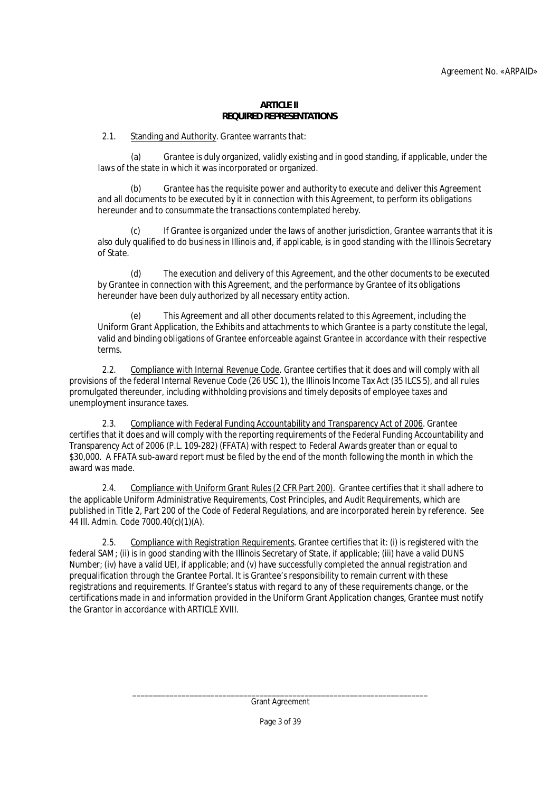### **ARTICLE II REQUIRED REPRESENTATIONS**

2.1. Standing and **Authority**. Grantee warrants that:

(a) Grantee is duly organized, validly existing and in good standing, if applicable, under the laws of the state in which it was incorporated or organized.

(b) Grantee has the requisite power and authority to execute and deliver this Agreement and all documents to be executed by it in connection with this Agreement, to perform its obligations hereunder and to consummate the transactions contemplated hereby.

If Grantee is organized under the laws of another jurisdiction, Grantee warrants that it is also duly qualified to do business in Illinois and, if applicable, is in good standing with the Illinois Secretary of State.

(d) The execution and delivery of this Agreement, and the other documents to be executed by Grantee in connection with this Agreement, and the performance by Grantee of its obligations hereunder have been duly authorized by all necessary entity action.

This Agreement and all other documents related to this Agreement, including the Uniform Grant Application, the Exhibits and attachments to which Grantee is a party constitute the legal, valid and binding obligations of Grantee enforceable against Grantee in accordance with their respective terms.

2.2. Compliance with Internal Revenue Code. Grantee certifies that it does and will comply with all provisions of the federal Internal Revenue Code (26 USC 1), the Illinois Income Tax Act (35 ILCS 5), and all rules promulgated thereunder, including withholding provisions and timely deposits of employee taxes and unemployment insurance taxes.

2.3. Compliance with Federal Funding Accountability and Transparency Act of 2006. Grantee certifies that it does and will comply with the reporting requirements of the Federal Funding Accountability and Transparency Act of 2006 (P.L. 109-282) (FFATA) with respect to Federal Awards greater than or equal to \$30,000. A FFATA sub-award report must be filed by the end of the month following the month in which the award was made.

2.4. Compliance with Uniform Grant Rules (2 CFR Part 200). Grantee certifies that it shall adhere to the applicable Uniform Administrative Requirements, Cost Principles, and Audit Requirements, which are published in Title 2, Part 200 of the Code of Federal Regulations, and are incorporated herein by reference. See 44 Ill. Admin. Code 7000.40(c)(1)(A).

2.5. Compliance with Registration Requirements. Grantee certifies that it: (i) is registered with the federal SAM; (ii) is in good standing with the Illinois Secretary of State, if applicable; (iii) have a valid DUNS Number; (iv) have a valid UEI, if applicable; and (v) have successfully completed the annual registration and prequalification through the Grantee Portal. It is Grantee's responsibility to remain current with these registrations and requirements. If Grantee's status with regard to any of these requirements change, or the certifications made in and information provided in the Uniform Grant Application changes, Grantee must notify the Grantor in accordance with ARTICLE XVIII.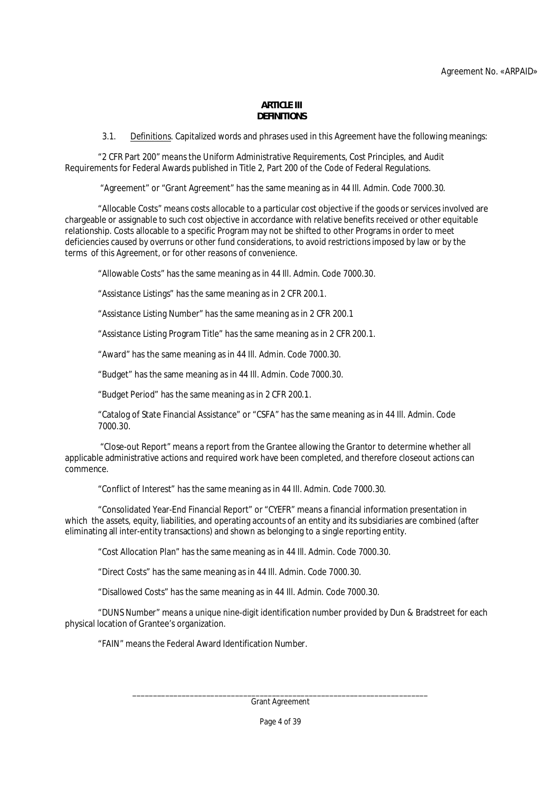#### **ARTICLE III DEFINITIONS**

3.1. Definitions. Capitalized words and phrases used in this Agreement have the following meanings:

"2 CFR Part 200" means the Uniform Administrative Requirements, Cost Principles, and Audit Requirements for Federal Awards published in Title 2, Part 200 of the Code of Federal Regulations.

"Agreement" or "Grant Agreement" has the same meaning as in 44 Ill. Admin. Code 7000.30.

"Allocable Costs" means costs allocable to a particular cost objective if the goods or services involved are chargeable or assignable to such cost objective in accordance with relative benefits received or other equitable relationship. Costs allocable to a specific Program may not be shifted to other Programs in order to meet deficiencies caused by overruns or other fund considerations, to avoid restrictions imposed by law or by the terms of this Agreement, or for other reasons of convenience.

"Allowable Costs" has the same meaning as in 44 Ill. Admin. Code 7000.30.

"Assistance Listings" has the same meaning as in 2 CFR 200.1.

"Assistance Listing Number" has the same meaning as in 2 CFR 200.1

"Assistance Listing Program Title" has the same meaning as in 2 CFR 200.1.

"Award" has the same meaning as in 44 Ill. Admin. Code 7000.30.

"Budget" has the same meaning as in 44 Ill. Admin. Code 7000.30.

"Budget Period" has the same meaning as in 2 CFR 200.1.

"Catalog of State Financial Assistance" or "CSFA" has the same meaning as in 44 Ill. Admin. Code 7000.30.

 "Close-out Report" means a report from the Grantee allowing the Grantor to determine whether all applicable administrative actions and required work have been completed, and therefore closeout actions can commence.

"Conflict of Interest" has the same meaning as in 44 Ill. Admin. Code 7000.30.

"Consolidated Year-End Financial Report" or "CYEFR" means a financial information presentation in which the assets, equity, liabilities, and operating accounts of an entity and its subsidiaries are combined (after eliminating all inter-entity transactions) and shown as belonging to a single reporting entity.

"Cost Allocation Plan" has the same meaning as in 44 Ill. Admin. Code 7000.30.

"Direct Costs" has the same meaning as in 44 Ill. Admin. Code 7000.30.

"Disallowed Costs" has the same meaning as in 44 Ill. Admin. Code 7000.30.

"DUNS Number" means a unique nine-digit identification number provided by Dun & Bradstreet for each physical location of Grantee's organization.

"FAIN" means the Federal Award Identification Number.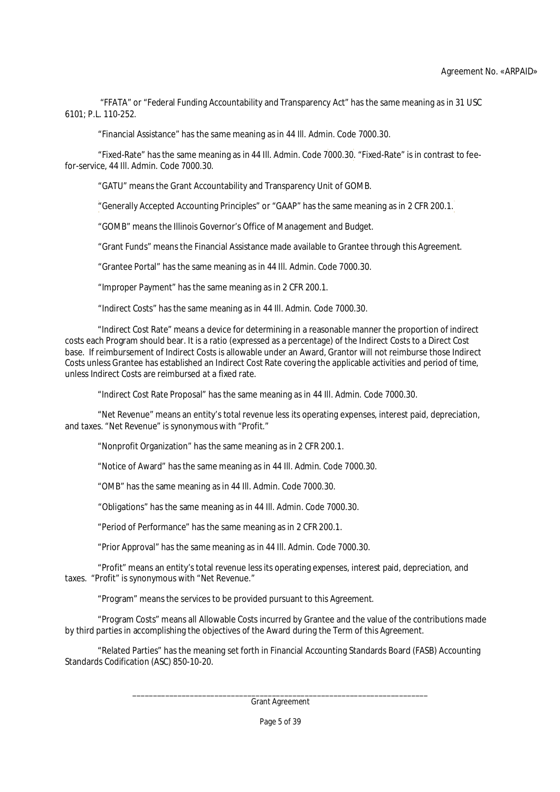"FFATA" or "Federal Funding Accountability and Transparency Act" has the same meaning as in 31 USC 6101; P.L. 110-252.

"Financial Assistance" has the same meaning as in 44 Ill. Admin. Code 7000.30.

"Fixed-Rate" has the same meaning as in 44 Ill. Admin. Code 7000.30. "Fixed-Rate" is in contrast to feefor-service, 44 Ill. Admin. Code 7000.30.

"GATU" means the Grant Accountability and Transparency Unit of GOMB.

"Generally Accepted Accounting Principles" or "GAAP" has the same meaning as in 2 CFR 200.1.

"GOMB" means the Illinois Governor's Office of Management and Budget.

"Grant Funds" means the Financial Assistance made available to Grantee through this Agreement.

"Grantee Portal" has the same meaning as in 44 Ill. Admin. Code 7000.30.

"Improper Payment" has the same meaning as in 2 CFR 200.1.

"Indirect Costs" has the same meaning as in 44 Ill. Admin. Code 7000.30.

"Indirect Cost Rate" means a device for determining in a reasonable manner the proportion of indirect costs each Program should bear. It is a ratio (expressed as a percentage) of the Indirect Costs to a Direct Cost base. If reimbursement of Indirect Costs is allowable under an Award, Grantor will not reimburse those Indirect Costs unless Grantee has established an Indirect Cost Rate covering the applicable activities and period of time, unless Indirect Costs are reimbursed at a fixed rate.

"Indirect Cost Rate Proposal" has the same meaning as in 44 Ill. Admin. Code 7000.30.

"Net Revenue" means an entity's total revenue less its operating expenses, interest paid, depreciation, and taxes. "Net Revenue" is synonymous with "Profit."

"Nonprofit Organization" has the same meaning as in 2 CFR 200.1.

"Notice of Award" has the same meaning as in 44 Ill. Admin. Code 7000.30.

"OMB" has the same meaning as in 44 Ill. Admin. Code 7000.30.

"Obligations" has the same meaning as in 44 Ill. Admin. Code 7000.30.

"Period of Performance" has the same meaning as in 2 CFR 200.1.

"Prior Approval" has the same meaning as in 44 Ill. Admin. Code 7000.30.

"Profit" means an entity's total revenue less its operating expenses, interest paid, depreciation, and taxes. "Profit" is synonymous with "Net Revenue."

"Program" means the services to be provided pursuant to this Agreement.

"Program Costs" means all Allowable Costs incurred by Grantee and the value of the contributions made by third parties in accomplishing the objectives of the Award during the Term of this Agreement.

"Related Parties" has the meaning set forth in Financial Accounting Standards Board (FASB) Accounting Standards Codification (ASC) 850-10-20.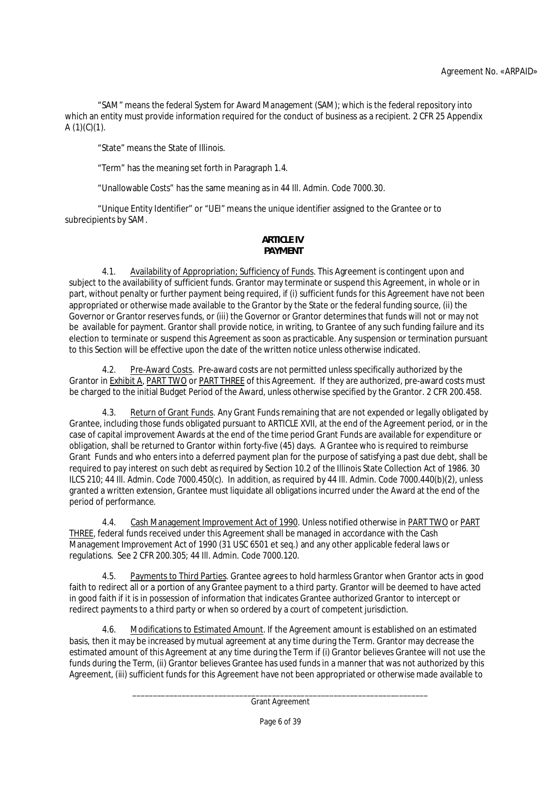"SAM" means the federal System for Award Management (SAM); which is the federal repository into which an entity must provide information required for the conduct of business as a recipient. 2 CFR 25 Appendix  $A(1)(C)(1)$ .

"State" means the State of Illinois.

"Term" has the meaning set forth in Paragraph 1.4.

"Unallowable Costs" has the same meaning as in 44 Ill. Admin. Code 7000.30.

"Unique Entity Identifier" or "UEI" means the unique identifier assigned to the Grantee or to subrecipients by SAM.

# **ARTICLE IV PAYMENT**

4.1. Availability of Appropriation; Sufficiency of Funds. This Agreement is contingent upon and subject to the availability of sufficient funds. Grantor may terminate or suspend this Agreement, in whole or in part, without penalty or further payment being required, if (i) sufficient funds for this Agreement have not been appropriated or otherwise made available to the Grantor by the State or the federal funding source, (ii) the Governor or Grantor reserves funds, or (iii) the Governor or Grantor determines that funds will not or may not be available for payment. Grantor shall provide notice, in writing, to Grantee of any such funding failure and its election to terminate or suspend this Agreement as soon as practicable. Any suspension or termination pursuant to this Section will be effective upon the date of the written notice unless otherwise indicated.

4.2. Pre-Award Costs. Pre-award costs are not permitted unless specifically authorized by the Grantor in Exhibit A, PART TWO or PART THREE of this Agreement. If they are authorized, pre-award costs must be charged to the initial Budget Period of the Award, unless otherwise specified by the Grantor. 2 CFR 200.458.

4.3. Return of Grant Funds. Any Grant Funds remaining that are not expended or legally obligated by Grantee, including those funds obligated pursuant to ARTICLE XVII, at the end of the Agreement period, or in the case of capital improvement Awards at the end of the time period Grant Funds are available for expenditure or obligation, shall be returned to Grantor within forty-five (45) days. A Grantee who is required to reimburse Grant Funds and who enters into a deferred payment plan for the purpose of satisfying a past due debt, shall be required to pay interest on such debt as required by Section 10.2 of the Illinois State Collection Act of 1986. 30 ILCS 210; 44 Ill. Admin. Code 7000.450(c). In addition, as required by 44 Ill. Admin. Code 7000.440(b)(2), unless granted a written extension, Grantee must liquidate all obligations incurred under the Award at the end of the period of performance.

4.4. Cash Management Improvement Act of 1990. Unless notified otherwise in PART TWO or PART THREE, federal funds received under this Agreement shall be managed in accordance with the Cash Management Improvement Act of 1990 (31 USC 6501 et seq.) and any other applicable federal laws or regulations. See 2 CFR 200.305; 44 Ill. Admin. Code 7000.120.

4.5. Payments to Third Parties. Grantee agrees to hold harmless Grantor when Grantor acts in good faith to redirect all or a portion of any Grantee payment to a third party. Grantor will be deemed to have acted in good faith if it is in possession of information that indicates Grantee authorized Grantor to intercept or redirect payments to a third party or when so ordered by a court of competent jurisdiction.

4.6. Modifications to Estimated Amount. If the Agreement amount is established on an estimated basis, then it may be increased by mutual agreement at any time during the Term. Grantor may decrease the estimated amount of this Agreement at any time during the Term if (i) Grantor believes Grantee will not use the funds during the Term, (ii) Grantor believes Grantee has used funds in a manner that was not authorized by this Agreement, (iii) sufficient funds for this Agreement have not been appropriated or otherwise made available to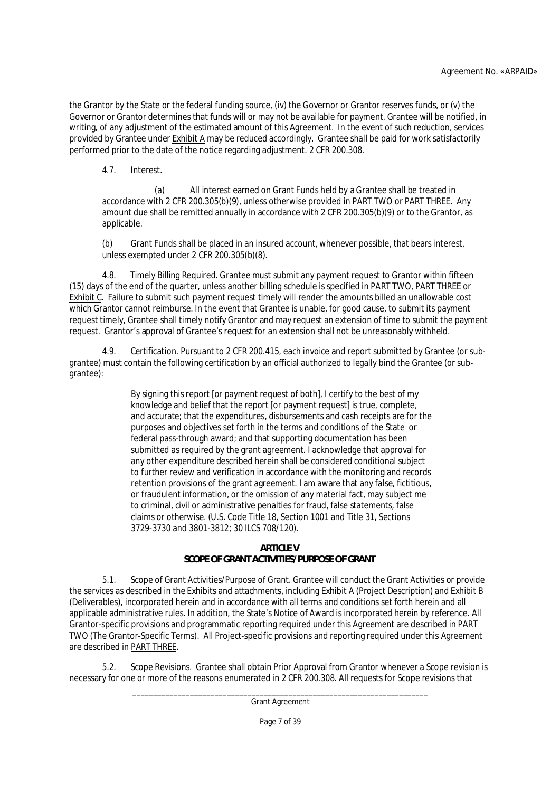the Grantor by the State or the federal funding source, (iv) the Governor or Grantor reserves funds, or (v) the Governor or Grantor determines that funds will or may not be available for payment. Grantee will be notified, in writing, of any adjustment of the estimated amount of this Agreement. In the event of such reduction, services provided by Grantee under Exhibit A may be reduced accordingly. Grantee shall be paid for work satisfactorily performed prior to the date of the notice regarding adjustment. 2 CFR 200.308.

4.7. Interest.

(a) All interest earned on Grant Funds held by a Grantee shall be treated in accordance with 2 CFR 200.305(b)(9), unless otherwise provided in PART TWO or PART THREE. Any amount due shall be remitted annually in accordance with 2 CFR 200.305(b)(9) or to the Grantor, as applicable.

(b) Grant Funds shall be placed in an insured account, whenever possible, that bears interest, unless exempted under 2 CFR 200.305(b)(8).

4.8. Timely Billing Required. Grantee must submit any payment request to Grantor within fifteen (15) days of the end of the quarter, unless another billing schedule is specified in PART TWO, PART THREE or Exhibit C. Failure to submit such payment request timely will render the amounts billed an unallowable cost which Grantor cannot reimburse. In the event that Grantee is unable, for good cause, to submit its payment request timely, Grantee shall timely notify Grantor and may request an extension of time to submit the payment request. Grantor's approval of Grantee's request for an extension shall not be unreasonably withheld.

4.9. Certification. Pursuant to 2 CFR 200.415, each invoice and report submitted by Grantee (or subgrantee) must contain the following certification by an official authorized to legally bind the Grantee (or subgrantee):

> By signing this report [or payment request of both], I certify to the best of my knowledge and belief that the report [or payment request] is true, complete, and accurate; that the expenditures, disbursements and cash receipts are for the purposes and objectives set forth in the terms and conditions of the State or federal pass-through award; and that supporting documentation has been submitted as required by the grant agreement. I acknowledge that approval for any other expenditure described herein shall be considered conditional subject to further review and verification in accordance with the monitoring and records retention provisions of the grant agreement. I am aware that any false, fictitious, or fraudulent information, or the omission of any material fact, may subject me to criminal, civil or administrative penalties for fraud, false statements, false claims or otherwise. (U.S. Code Title 18, Section 1001 and Title 31, Sections 3729-3730 and 3801-3812; 30 ILCS 708/120).

# **ARTICLE V**

# **SCOPE OF GRANT ACTIVITIES/PURPOSE OF GRANT**

5.1. Scope of Grant Activities/Purpose of Grant. Grantee will conduct the Grant Activities or provide the services as described in the Exhibits and attachments, including Exhibit A (Project Description) and Exhibit B (Deliverables), incorporated herein and in accordance with all terms and conditions set forth herein and all applicable administrative rules. In addition, the State's Notice of Award is incorporated herein by reference. All Grantor-specific provisions and programmatic reporting required under this Agreement are described in PART TWO (The Grantor-Specific Terms). All Project-specific provisions and reporting required under this Agreement are described in PART THREE.

5.2. Scope Revisions. Grantee shall obtain Prior Approval from Grantor whenever a Scope revision is necessary for one or more of the reasons enumerated in 2 CFR 200.308. All requests for Scope revisions that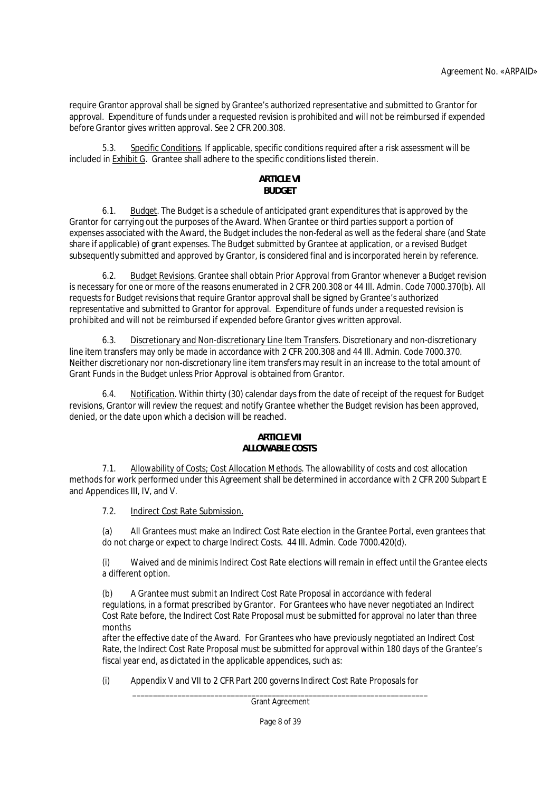require Grantor approval shall be signed by Grantee's authorized representative and submitted to Grantor for approval. Expenditure of funds under a requested revision is prohibited and will not be reimbursed if expended before Grantor gives written approval. See 2 CFR 200.308.

Specific Conditions. If applicable, specific conditions required after a risk assessment will be included in Exhibit G. Grantee shall adhere to the specific conditions listed therein.

# **ARTICLE VI BUDGET**

6.1. Budget. The Budget is a schedule of anticipated grant expenditures that is approved by the Grantor for carrying out the purposes of the Award. When Grantee or third parties support a portion of expenses associated with the Award, the Budget includes the non-federal as well as the federal share (and State share if applicable) of grant expenses. The Budget submitted by Grantee at application, or a revised Budget subsequently submitted and approved by Grantor, is considered final and is incorporated herein by reference.

6.2. Budget Revisions. Grantee shall obtain Prior Approval from Grantor whenever a Budget revision is necessary for one or more of the reasons enumerated in 2 CFR 200.308 or 44 Ill. Admin. Code 7000.370(b). All requests for Budget revisions that require Grantor approval shall be signed by Grantee's authorized representative and submitted to Grantor for approval. Expenditure of funds under a requested revision is prohibited and will not be reimbursed if expended before Grantor gives written approval.

6.3. Discretionary and Non-discretionary Line Item Transfers. Discretionary and non-discretionary line item transfers may only be made in accordance with 2 CFR 200.308 and 44 Ill. Admin. Code 7000.370. Neither discretionary nor non-discretionary line item transfers may result in an increase to the total amount of Grant Funds in the Budget unless Prior Approval is obtained from Grantor.

6.4. Notification. Within thirty (30) calendar days from the date of receipt of the request for Budget revisions, Grantor will review the request and notify Grantee whether the Budget revision has been approved, denied, or the date upon which a decision will be reached.

# **ARTICLE VII ALLOWABLE COSTS**

7.1. Allowability of Costs; Cost Allocation Methods. The allowability of costs and cost allocation methods for work performed under this Agreement shall be determined in accordance with 2 CFR 200 Subpart E and Appendices III, IV, and V.

7.2. Indirect Cost Rate Submission.

(a) All Grantees must make an Indirect Cost Rate election in the Grantee Portal, even grantees that do not charge or expect to charge Indirect Costs. 44 Ill. Admin. Code 7000.420(d).

(i) Waived and de minimis Indirect Cost Rate elections will remain in effect until the Grantee elects a different option.

(b) A Grantee must submit an Indirect Cost Rate Proposal in accordance with federal regulations, in a format prescribed by Grantor. For Grantees who have never negotiated an Indirect Cost Rate before, the Indirect Cost Rate Proposal must be submitted for approval no later than three months

after the effective date of the Award. For Grantees who have previously negotiated an Indirect Cost Rate, the Indirect Cost Rate Proposal must be submitted for approval within 180 days of the Grantee's fiscal year end, as dictated in the applicable appendices, such as:

(i) Appendix V and VII to 2 CFR Part 200 governs Indirect Cost Rate Proposals for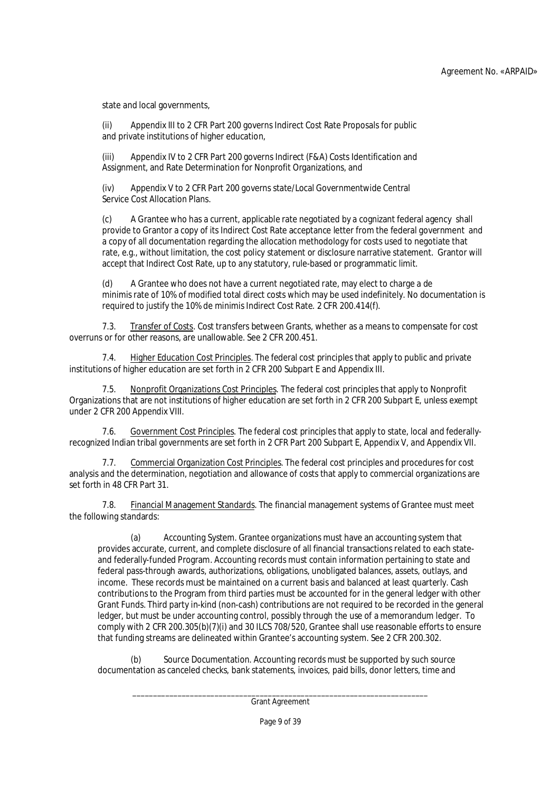state and local governments,

(ii) Appendix III to 2 CFR Part 200 governs Indirect Cost Rate Proposals for public and private institutions of higher education,

(iii) Appendix IV to 2 CFR Part 200 governs Indirect (F&A) Costs Identification and Assignment, and Rate Determination for Nonprofit Organizations, and

(iv) Appendix V to 2 CFR Part 200 governs state/Local Governmentwide Central Service Cost Allocation Plans.

(c) A Grantee who has a current, applicable rate negotiated by a cognizant federal agency shall provide to Grantor a copy of its Indirect Cost Rate acceptance letter from the federal government and a copy of all documentation regarding the allocation methodology for costs used to negotiate that rate, e.g., without limitation, the cost policy statement or disclosure narrative statement. Grantor will accept that Indirect Cost Rate, up to any statutory, rule-based or programmatic limit.

(d) A Grantee who does not have a current negotiated rate, may elect to charge a de minimis rate of 10% of modified total direct costs which may be used indefinitely. No documentation is required to justify the 10% de minimis Indirect Cost Rate. 2 CFR 200.414(f).

7.3. Transfer of Costs. Cost transfers between Grants, whether as a means to compensate for cost overruns or for other reasons, are unallowable. See 2 CFR 200.451.

7.4. Higher Education Cost Principles. The federal cost principles that apply to public and private institutions of higher education are set forth in 2 CFR 200 Subpart E and Appendix III.

7.5. Nonprofit Organizations Cost Principles. The federal cost principles that apply to Nonprofit Organizations that are not institutions of higher education are set forth in 2 CFR 200 Subpart E, unless exempt under 2 CFR 200 Appendix VIII.

7.6. Government Cost Principles. The federal cost principles that apply to state, local and federallyrecognized Indian tribal governments are set forth in 2 CFR Part 200 Subpart E, Appendix V, and Appendix VII.

7.7. Commercial Organization Cost Principles. The federal cost principles and procedures for cost analysis and the determination, negotiation and allowance of costs that apply to commercial organizations are set forth in 48 CFR Part 31.

7.8. Financial Management Standards. The financial management systems of Grantee must meet the following standards:

(a) Accounting System. Grantee organizations must have an accounting system that provides accurate, current, and complete disclosure of all financial transactions related to each stateand federally-funded Program. Accounting records must contain information pertaining to state and federal pass-through awards, authorizations, obligations, unobligated balances, assets, outlays, and income. These records must be maintained on a current basis and balanced at least quarterly. Cash contributions to the Program from third parties must be accounted for in the general ledger with other Grant Funds. Third party in-kind (non-cash) contributions are not required to be recorded in the general ledger, but must be under accounting control, possibly through the use of a memorandum ledger. To comply with 2 CFR 200.305(b)(7)(i) and 30 ILCS 708/520, Grantee shall use reasonable efforts to ensure that funding streams are delineated within Grantee's accounting system. See 2 CFR 200.302.

(b) Source Documentation. Accounting records must be supported by such source documentation as canceled checks, bank statements, invoices, paid bills, donor letters, time and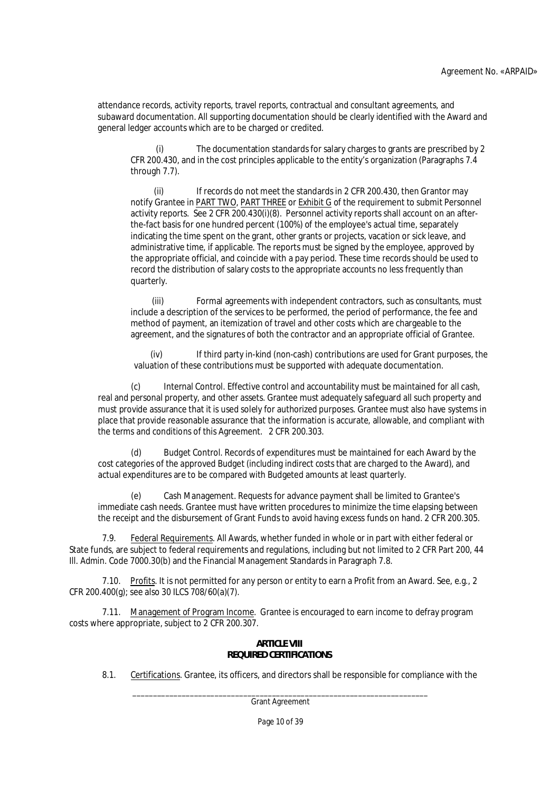attendance records, activity reports, travel reports, contractual and consultant agreements, and subaward documentation. All supporting documentation should be clearly identified with the Award and general ledger accounts which are to be charged or credited.

(i) The documentation standards for salary charges to grants are prescribed by 2 CFR 200.430, and in the cost principles applicable to the entity's organization (Paragraphs 7.4 through 7.7).

(ii) If records do not meet the standards in 2 CFR 200.430, then Grantor may notify Grantee in PART TWO, PART THREE or Exhibit G of the requirement to submit Personnel activity reports. See 2 CFR 200.430(i)(8). Personnel activity reports shall account on an afterthe-fact basis for one hundred percent (100%) of the employee's actual time, separately indicating the time spent on the grant, other grants or projects, vacation or sick leave, and administrative time, if applicable. The reports must be signed by the employee, approved by the appropriate official, and coincide with a pay period. These time records should be used to record the distribution of salary costs to the appropriate accounts no less frequently than quarterly.

(iii) Formal agreements with independent contractors, such as consultants, must include a description of the services to be performed, the period of performance, the fee and method of payment, an itemization of travel and other costs which are chargeable to the agreement, and the signatures of both the contractor and an appropriate official of Grantee.

(iv) If third party in-kind (non-cash) contributions are used for Grant purposes, the valuation of these contributions must be supported with adequate documentation.

(c) Internal Control. Effective control and accountability must be maintained for all cash, real and personal property, and other assets. Grantee must adequately safeguard all such property and must provide assurance that it is used solely for authorized purposes. Grantee must also have systems in place that provide reasonable assurance that the information is accurate, allowable, and compliant with the terms and conditions of this Agreement. 2 CFR 200.303.

(d) Budget Control. Records of expenditures must be maintained for each Award by the cost categories of the approved Budget (including indirect costs that are charged to the Award), and actual expenditures are to be compared with Budgeted amounts at least quarterly.

(e) Cash Management. Requests for advance payment shall be limited to Grantee's immediate cash needs. Grantee must have written procedures to minimize the time elapsing between the receipt and the disbursement of Grant Funds to avoid having excess funds on hand. 2 CFR 200.305.

7.9. Federal Requirements. All Awards, whether funded in whole or in part with either federal or State funds, are subject to federal requirements and regulations, including but not limited to 2 CFR Part 200, 44 Ill. Admin. Code 7000.30(b) and the Financial Management Standards in Paragraph 7.8.

7.10. Profits. It is not permitted for any person or entity to earn a Profit from an Award. See, e.g., 2 CFR 200.400(g); see also 30 ILCS 708/60(a)(7).

7.11. Management of Program Income. Grantee is encouraged to earn income to defray program costs where appropriate, subject to 2 CFR 200.307.

### **ARTICLE VIII REQUIRED CERTIFICATIONS**

8.1. Certifications. Grantee, its officers, and directors shall be responsible for compliance with the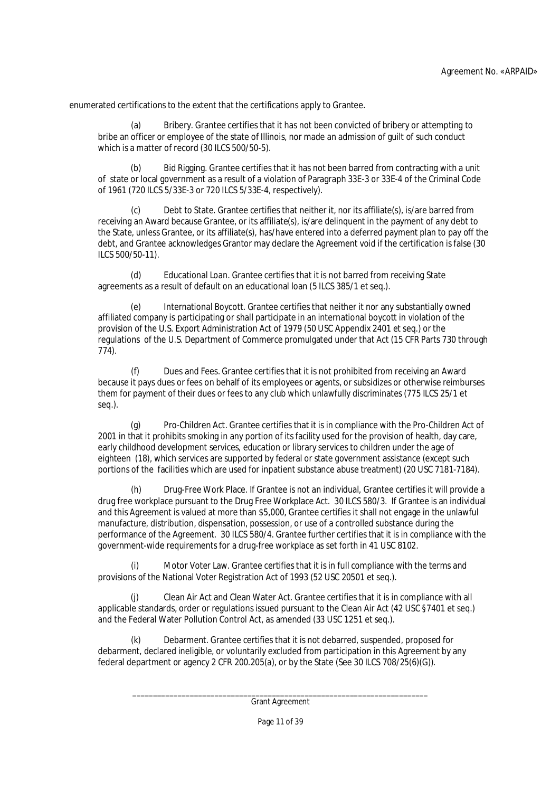enumerated certifications to the extent that the certifications apply to Grantee.

(a) Bribery. Grantee certifies that it has not been convicted of bribery or attempting to bribe an officer or employee of the state of Illinois, nor made an admission of guilt of such conduct which is a matter of record (30 ILCS 500/50-5).

(b) Bid Rigging. Grantee certifies that it has not been barred from contracting with a unit of state or local government as a result of a violation of Paragraph 33E-3 or 33E-4 of the Criminal Code of 1961 (720 ILCS 5/33E-3 or 720 ILCS 5/33E-4, respectively).

Debt to State. Grantee certifies that neither it, nor its affiliate(s), is/are barred from receiving an Award because Grantee, or its affiliate(s), is/are delinquent in the payment of any debt to the State, unless Grantee, or its affiliate(s), has/have entered into a deferred payment plan to pay off the debt, and Grantee acknowledges Grantor may declare the Agreement void if the certification is false (30 ILCS 500/50-11).

(d) Educational Loan. Grantee certifies that it is not barred from receiving State agreements as a result of default on an educational loan (5 ILCS 385/1 et seq.).

(e) International Boycott. Grantee certifies that neither it nor any substantially owned affiliated company is participating or shall participate in an international boycott in violation of the provision of the U.S. Export Administration Act of 1979 (50 USC Appendix 2401 et seq.) or the regulations of the U.S. Department of Commerce promulgated under that Act (15 CFR Parts 730 through 774).

(f) Dues and Fees. Grantee certifies that it is not prohibited from receiving an Award because it pays dues or fees on behalf of its employees or agents, or subsidizes or otherwise reimburses them for payment of their dues or fees to any club which unlawfully discriminates (775 ILCS 25/1 et seq.).

(g) Pro-Children Act. Grantee certifies that it is in compliance with the Pro-Children Act of 2001 in that it prohibits smoking in any portion of its facility used for the provision of health, day care, early childhood development services, education or library services to children under the age of eighteen (18), which services are supported by federal or state government assistance (except such portions of the facilities which are used for inpatient substance abuse treatment) (20 USC 7181-7184).

(h) Drug-Free Work Place. If Grantee is not an individual, Grantee certifies it will provide a drug free workplace pursuant to the Drug Free Workplace Act. 30 ILCS 580/3. If Grantee is an individual and this Agreement is valued at more than \$5,000, Grantee certifies it shall not engage in the unlawful manufacture, distribution, dispensation, possession, or use of a controlled substance during the performance of the Agreement. 30 ILCS 580/4. Grantee further certifies that it is in compliance with the government-wide requirements for a drug-free workplace as set forth in 41 USC 8102.

Motor Voter Law. Grantee certifies that it is in full compliance with the terms and provisions of the National Voter Registration Act of 1993 (52 USC 20501 et seq.).

(j) Clean Air Act and Clean Water Act. Grantee certifies that it is in compliance with all applicable standards, order or regulations issued pursuant to the Clean Air Act (42 USC §7401 et seq.) and the Federal Water Pollution Control Act, as amended (33 USC 1251 et seq.).

(k) Debarment. Grantee certifies that it is not debarred, suspended, proposed for debarment, declared ineligible, or voluntarily excluded from participation in this Agreement by any federal department or agency 2 CFR 200.205(a), or by the State (See 30 ILCS 708/25(6)(G)).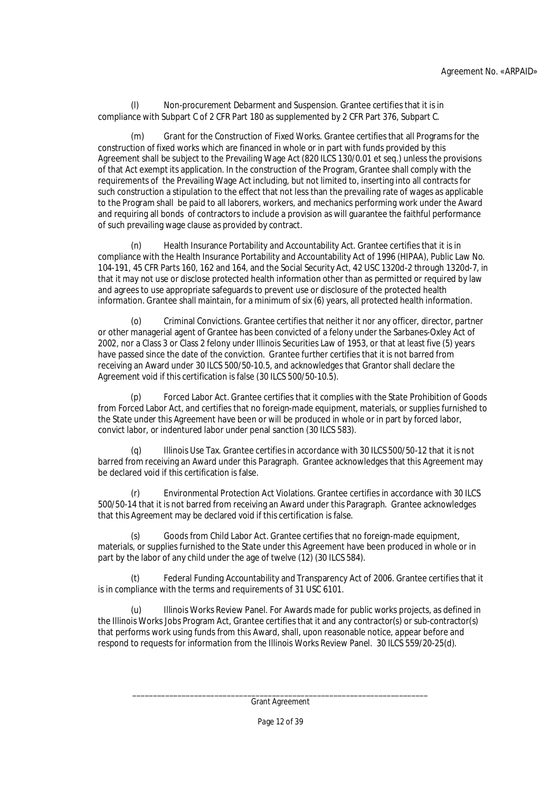Non-procurement Debarment and Suspension. Grantee certifies that it is in compliance with Subpart C of 2 CFR Part 180 as supplemented by 2 CFR Part 376, Subpart C.

(m) Grant for the Construction of Fixed Works. Grantee certifies that all Programs for the construction of fixed works which are financed in whole or in part with funds provided by this Agreement shall be subject to the Prevailing Wage Act (820 ILCS 130/0.01 et seq.) unless the provisions of that Act exempt its application. In the construction of the Program, Grantee shall comply with the requirements of the Prevailing Wage Act including, but not limited to, inserting into all contracts for such construction a stipulation to the effect that not less than the prevailing rate of wages as applicable to the Program shall be paid to all laborers, workers, and mechanics performing work under the Award and requiring all bonds of contractors to include a provision as will guarantee the faithful performance of such prevailing wage clause as provided by contract.

(n) Health Insurance Portability and Accountability Act. Grantee certifies that it is in compliance with the Health Insurance Portability and Accountability Act of 1996 (HIPAA), Public Law No. 104-191, 45 CFR Parts 160, 162 and 164, and the Social Security Act, 42 USC 1320d-2 through 1320d-7, in that it may not use or disclose protected health information other than as permitted or required by law and agrees to use appropriate safeguards to prevent use or disclosure of the protected health information. Grantee shall maintain, for a minimum of six (6) years, all protected health information.

(o) Criminal Convictions. Grantee certifies that neither it nor any officer, director, partner or other managerial agent of Grantee has been convicted of a felony under the Sarbanes-Oxley Act of 2002, nor a Class 3 or Class 2 felony under Illinois Securities Law of 1953, or that at least five (5) years have passed since the date of the conviction. Grantee further certifies that it is not barred from receiving an Award under 30 ILCS 500/50-10.5, and acknowledges that Grantor shall declare the Agreement void if this certification is false (30 ILCS 500/50-10.5).

(p) Forced Labor Act. Grantee certifies that it complies with the State Prohibition of Goods from Forced Labor Act, and certifies that no foreign-made equipment, materials, or supplies furnished to the State under this Agreement have been or will be produced in whole or in part by forced labor, convict labor, or indentured labor under penal sanction (30 ILCS 583).

(q) Illinois Use Tax. Grantee certifies in accordance with 30 ILCS 500/50-12 that it is not barred from receiving an Award under this Paragraph. Grantee acknowledges that this Agreement may be declared void if this certification is false.

(r) Environmental Protection Act Violations. Grantee certifies in accordance with 30 ILCS 500/50-14 that it is not barred from receiving an Award under this Paragraph. Grantee acknowledges that this Agreement may be declared void if this certification is false.

(s) Goods from Child Labor Act. Grantee certifies that no foreign-made equipment, materials, or supplies furnished to the State under this Agreement have been produced in whole or in part by the labor of any child under the age of twelve (12) (30 ILCS 584).

(t) Federal Funding Accountability and Transparency Act of 2006. Grantee certifies that it is in compliance with the terms and requirements of 31 USC 6101.

(u) Illinois Works Review Panel. For Awards made for public works projects, as defined in the Illinois Works Jobs Program Act, Grantee certifies that it and any contractor(s) or sub-contractor(s) that performs work using funds from this Award, shall, upon reasonable notice, appear before and respond to requests for information from the Illinois Works Review Panel. 30 ILCS 559/20-25(d).

Page 12 of 39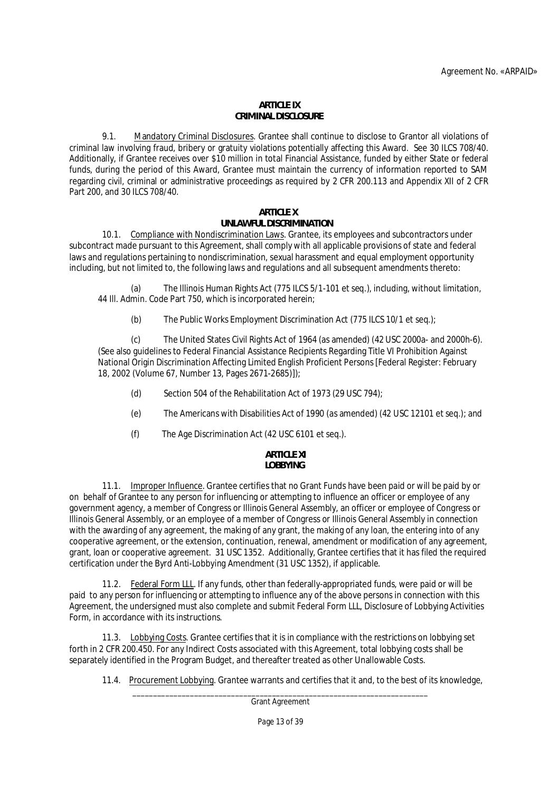#### **ARTICLE IX CRIMINAL DISCLOSURE**

9.1. Mandatory Criminal Disclosures. Grantee shall continue to disclose to Grantor all violations of criminal law involving fraud, bribery or gratuity violations potentially affecting this Award. See 30 ILCS 708/40. Additionally, if Grantee receives over \$10 million in total Financial Assistance, funded by either State or federal funds, during the period of this Award, Grantee must maintain the currency of information reported to SAM regarding civil, criminal or administrative proceedings as required by 2 CFR 200.113 and Appendix XII of 2 CFR Part 200, and 30 ILCS 708/40.

# **ARTICLE X**

# **UNLAWFUL DISCRIMINATION**

10.1. Compliance with Nondiscrimination Laws. Grantee, its employees and subcontractors under subcontract made pursuant to this Agreement, shall comply with all applicable provisions of state and federal laws and regulations pertaining to nondiscrimination, sexual harassment and equal employment opportunity including, but not limited to, the following laws and regulations and all subsequent amendments thereto:

(a) The Illinois Human Rights Act (775 ILCS 5/1-101 et seq.), including, without limitation, 44 Ill. Admin. Code Part 750, which is incorporated herein;

(b) The Public Works Employment Discrimination Act (775 ILCS 10/1 et seq.);

(c) The United States Civil Rights Act of 1964 (as amended) (42 USC 2000a- and 2000h-6). (See also guidelines to Federal Financial Assistance Recipients Regarding Title VI Prohibition Against National Origin Discrimination Affecting Limited English Proficient Persons [Federal Register: February 18, 2002 (Volume 67, Number 13, Pages 2671-2685)]);

- (d) Section 504 of the Rehabilitation Act of 1973 (29 USC 794);
- (e) The Americans with Disabilities Act of 1990 (as amended) (42 USC 12101 et seq.); and
- (f) The Age Discrimination Act (42 USC 6101 et seq.).

#### **ARTICLE XI LOBBYING**

# 11.1. Improper Influence. Grantee certifies that no Grant Funds have been paid or will be paid by or on behalf of Grantee to any person for influencing or attempting to influence an officer or employee of any government agency, a member of Congress or Illinois General Assembly, an officer or employee of Congress or Illinois General Assembly, or an employee of a member of Congress or Illinois General Assembly in connection with the awarding of any agreement, the making of any grant, the making of any loan, the entering into of any cooperative agreement, or the extension, continuation, renewal, amendment or modification of any agreement, grant, loan or cooperative agreement. 31 USC 1352. Additionally, Grantee certifies that it has filed the required certification under the Byrd Anti-Lobbying Amendment (31 USC 1352), if applicable.

11.2. Federal Form LLL. If any funds, other than federally-appropriated funds, were paid or will be paid to any person for influencing or attempting to influence any of the above persons in connection with this Agreement, the undersigned must also complete and submit Federal Form LLL, Disclosure of Lobbying Activities Form, in accordance with its instructions.

11.3. Lobbying Costs. Grantee certifies that it is in compliance with the restrictions on lobbying set forth in 2 CFR 200.450. For any Indirect Costs associated with this Agreement, total lobbying costs shall be separately identified in the Program Budget, and thereafter treated as other Unallowable Costs.

11.4. Procurement Lobbying. Grantee warrants and certifies that it and, to the best of its knowledge,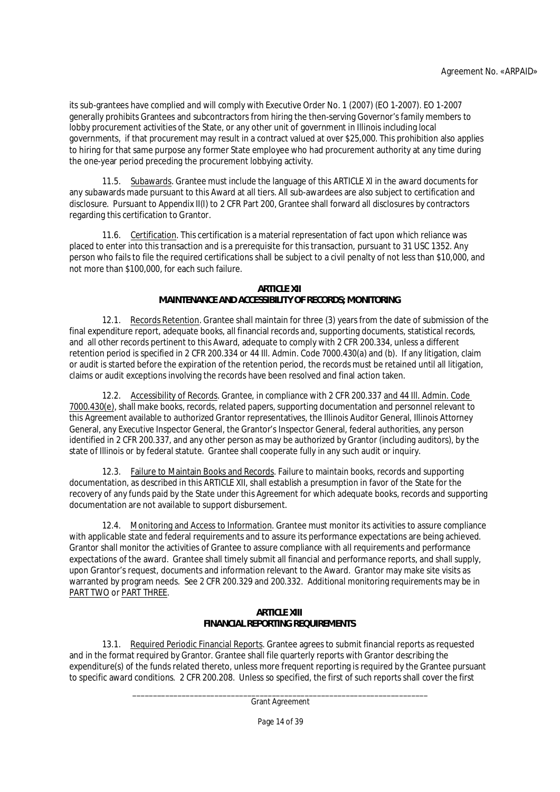its sub-grantees have complied and will comply with Executive Order No. 1 (2007) (EO 1-2007). EO 1-2007 generally prohibits Grantees and subcontractors from hiring the then-serving Governor's family members to lobby procurement activities of the State, or any other unit of government in Illinois including local governments, if that procurement may result in a contract valued at over \$25,000. This prohibition also applies to hiring for that same purpose any former State employee who had procurement authority at any time during the one-year period preceding the procurement lobbying activity.

11.5. Subawards. Grantee must include the language of this ARTICLE XI in the award documents for any subawards made pursuant to this Award at all tiers. All sub-awardees are also subject to certification and disclosure. Pursuant to Appendix II(I) to 2 CFR Part 200, Grantee shall forward all disclosures by contractors regarding this certification to Grantor.

11.6. Certification. This certification is a material representation of fact upon which reliance was placed to enter into this transaction and is a prerequisite for this transaction, pursuant to 31 USC 1352. Any person who fails to file the required certifications shall be subject to a civil penalty of not less than \$10,000, and not more than \$100,000, for each such failure.

### **ARTICLE XII**

# **MAINTENANCE AND ACCESSIBILITY OF RECORDS; MONITORING**

12.1. Records Retention. Grantee shall maintain for three (3) years from the date of submission of the final expenditure report, adequate books, all financial records and, supporting documents, statistical records, and all other records pertinent to this Award, adequate to comply with 2 CFR 200.334, unless a different retention period is specified in 2 CFR 200.334 or 44 Ill. Admin. Code 7000.430(a) and (b). If any litigation, claim or audit is started before the expiration of the retention period, the records must be retained until all litigation, claims or audit exceptions involving the records have been resolved and final action taken.

12.2. Accessibility of Records. Grantee, in compliance with 2 CFR 200.337 and 44 Ill. Admin. Code 7000.430(e), shall make books, records, related papers, supporting documentation and personnel relevant to this Agreement available to authorized Grantor representatives, the Illinois Auditor General, Illinois Attorney General, any Executive Inspector General, the Grantor's Inspector General, federal authorities, any person identified in 2 CFR 200.337, and any other person as may be authorized by Grantor (including auditors), by the state of Illinois or by federal statute. Grantee shall cooperate fully in any such audit or inquiry.

12.3. Failure to Maintain Books and Records. Failure to maintain books, records and supporting documentation, as described in this ARTICLE XII, shall establish a presumption in favor of the State for the recovery of any funds paid by the State under this Agreement for which adequate books, records and supporting documentation are not available to support disbursement.

12.4. Monitoring and Access to Information. Grantee must monitor its activities to assure compliance with applicable state and federal requirements and to assure its performance expectations are being achieved. Grantor shall monitor the activities of Grantee to assure compliance with all requirements and performance expectations of the award. Grantee shall timely submit all financial and performance reports, and shall supply, upon Grantor's request, documents and information relevant to the Award. Grantor may make site visits as warranted by program needs. See 2 CFR 200.329 and 200.332. Additional monitoring requirements may be in PART TWO or PART THREE.

## **ARTICLE XIII FINANCIAL REPORTING REQUIREMENTS**

13.1. Required Periodic Financial Reports. Grantee agrees to submit financial reports as requested and in the format required by Grantor. Grantee shall file quarterly reports with Grantor describing the expenditure(s) of the funds related thereto, unless more frequent reporting is required by the Grantee pursuant to specific award conditions. 2 CFR 200.208. Unless so specified, the first of such reports shall cover the first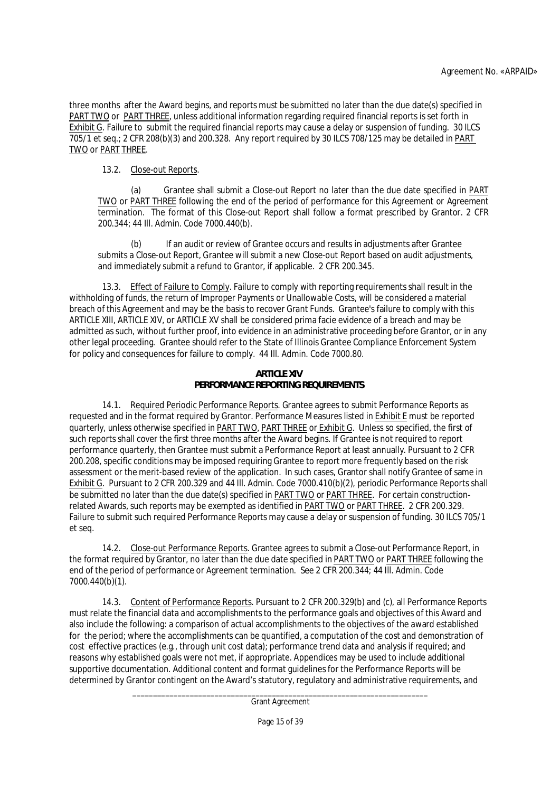three months after the Award begins, and reports must be submitted no later than the due date(s) specified in PART TWO or PART THREE, unless additional information regarding required financial reports is set forth in Exhibit G. Failure to submit the required financial reports may cause a delay or suspension of funding. 30 ILCS 705/1 et seq.; 2 CFR 208(b)(3) and 200.328. Any report required by 30 ILCS 708/125 may be detailed in PART TWO or PART THREE.

# 13.2. Close-out Reports.

(a) Grantee shall submit a Close-out Report no later than the due date specified in PART TWO or PART THREE following the end of the period of performance for this Agreement or Agreement termination. The format of this Close-out Report shall follow a format prescribed by Grantor. 2 CFR 200.344; 44 Ill. Admin. Code 7000.440(b).

(b) If an audit or review of Grantee occurs and results in adjustments after Grantee submits a Close-out Report, Grantee will submit a new Close-out Report based on audit adjustments, and immediately submit a refund to Grantor, if applicable. 2 CFR 200.345.

13.3. Effect of Failure to Comply. Failure to comply with reporting requirements shall result in the withholding of funds, the return of Improper Payments or Unallowable Costs, will be considered a material breach of this Agreement and may be the basis to recover Grant Funds. Grantee's failure to comply with this ARTICLE XIII, ARTICLE XIV, or ARTICLE XV shall be considered prima facie evidence of a breach and may be admitted as such, without further proof, into evidence in an administrative proceeding before Grantor, or in any other legal proceeding. Grantee should refer to the State of Illinois Grantee Compliance Enforcement System for policy and consequences for failure to comply. 44 Ill. Admin. Code 7000.80.

## **ARTICLE XIV PERFORMANCE REPORTING REQUIREMENTS**

14.1. Required Periodic Performance Reports. Grantee agrees to submit Performance Reports as requested and in the format required by Grantor. Performance Measures listed in Exhibit E must be reported quarterly, unless otherwise specified in PART TWO, PART THREE or Exhibit G. Unless so specified, the first of such reports shall cover the first three months after the Award begins. If Grantee is not required to report performance quarterly, then Grantee must submit a Performance Report at least annually. Pursuant to 2 CFR 200.208, specific conditions may be imposed requiring Grantee to report more frequently based on the risk assessment or the merit-based review of the application. In such cases, Grantor shall notify Grantee of same in Exhibit G. Pursuant to 2 CFR 200.329 and 44 Ill. Admin. Code 7000.410(b)(2), periodic Performance Reports shall be submitted no later than the due date(s) specified in PART TWO or PART THREE. For certain constructionrelated Awards, such reports may be exempted as identified in PART TWO or PART THREE. 2 CFR 200.329. Failure to submit such required Performance Reports may cause a delay or suspension of funding. 30 ILCS 705/1 et seq.

14.2. Close-out Performance Reports. Grantee agrees to submit a Close-out Performance Report, in the format required by Grantor, no later than the due date specified in PART TWO or PART THREE following the end of the period of performance or Agreement termination. See 2 CFR 200.344; 44 Ill. Admin. Code 7000.440(b)(1).

14.3. Content of Performance Reports. Pursuant to 2 CFR 200.329(b) and (c), all Performance Reports must relate the financial data and accomplishments to the performance goals and objectives of this Award and also include the following: a comparison of actual accomplishments to the objectives of the award established for the period; where the accomplishments can be quantified, a computation of the cost and demonstration of cost effective practices (e.g., through unit cost data); performance trend data and analysis if required; and reasons why established goals were not met, if appropriate. Appendices may be used to include additional supportive documentation. Additional content and format guidelines for the Performance Reports will be determined by Grantor contingent on the Award's statutory, regulatory and administrative requirements, and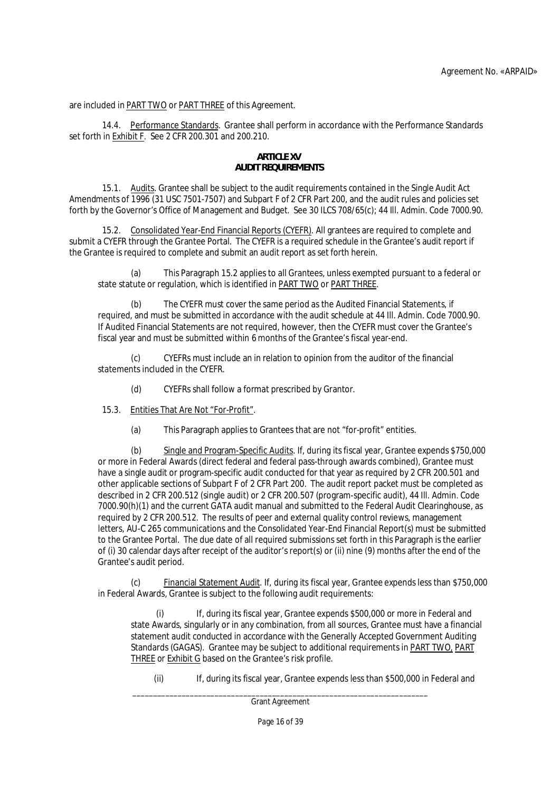are included in **PART TWO** or **PART THREE** of this Agreement.

14.4. Performance Standards. Grantee shall perform in accordance with the Performance Standards set forth in Exhibit F. See 2 CFR 200.301 and 200.210.

## **ARTICLE XV AUDIT REQUIREMENTS**

15.1. Audits. Grantee shall be subject to the audit requirements contained in the Single Audit Act Amendments of 1996 (31 USC 7501-7507) and Subpart F of 2 CFR Part 200, and the audit rules and policies set forth by the Governor's Office of Management and Budget. See 30 ILCS 708/65(c); 44 Ill. Admin. Code 7000.90.

15.2. Consolidated Year-End Financial Reports (CYEFR). All grantees are required to complete and submit a CYEFR through the Grantee Portal. The CYEFR is a required schedule in the Grantee's audit report if the Grantee is required to complete and submit an audit report as set forth herein.

(a) This Paragraph 15.2 applies to all Grantees, unless exempted pursuant to a federal or state statute or regulation, which is identified in PART TWO or PART THREE.

(b) The CYEFR must cover the same period as the Audited Financial Statements, if required, and must be submitted in accordance with the audit schedule at 44 Ill. Admin. Code 7000.90. If Audited Financial Statements are not required, however, then the CYEFR must cover the Grantee's fiscal year and must be submitted within 6 months of the Grantee's fiscal year-end.

(c) CYEFRs must include an in relation to opinion from the auditor of the financial statements included in the CYEFR.

(d) CYEFRs shall follow a format prescribed by Grantor.

15.3. Entities That Are Not "For-Profit".

(a) This Paragraph applies to Grantees that are not "for-profit" entities.

(b) Single and Program-Specific Audits. If, during its fiscal year, Grantee expends \$750,000 or more in Federal Awards (direct federal and federal pass-through awards combined), Grantee must have a single audit or program-specific audit conducted for that year as required by 2 CFR 200.501 and other applicable sections of Subpart F of 2 CFR Part 200. The audit report packet must be completed as described in 2 CFR 200.512 (single audit) or 2 CFR 200.507 (program-specific audit), 44 Ill. Admin. Code 7000.90(h)(1) and the current GATA audit manual and submitted to the Federal Audit Clearinghouse, as required by 2 CFR 200.512. The results of peer and external quality control reviews, management letters, AU-C 265 communications and the Consolidated Year-End Financial Report(s) must be submitted to the Grantee Portal. The due date of all required submissions set forth in this Paragraph is the earlier of (i) 30 calendar days after receipt of the auditor's report(s) or (ii) nine (9) months after the end of the Grantee's audit period.

(c) Financial Statement Audit. If, during its fiscal year, Grantee expends less than \$750,000 in Federal Awards, Grantee is subject to the following audit requirements:

(i) If, during its fiscal year, Grantee expends \$500,000 or more in Federal and state Awards, singularly or in any combination, from all sources, Grantee must have a financial statement audit conducted in accordance with the Generally Accepted Government Auditing Standards (GAGAS). Grantee may be subject to additional requirements in PART TWO, PART THREE or Exhibit G based on the Grantee's risk profile.

(ii) If, during its fiscal year, Grantee expends less than \$500,000 in Federal and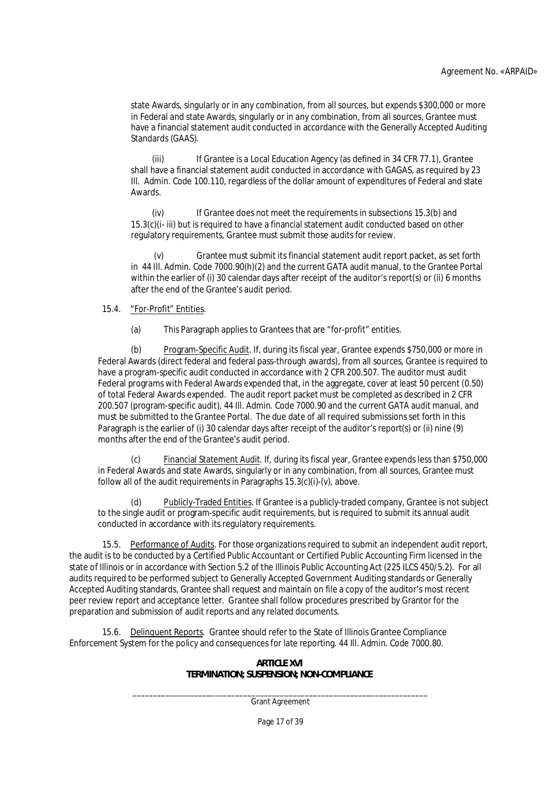state Awards, singularly or in any combination, from all sources, but expends \$300,000 or more in Federal and state Awards, singularly or in any combination, from all sources, Grantee must have a financial statement audit conducted in accordance with the Generally Accepted Auditing Standards (GAAS).

(iii) If Grantee is a Local Education Agency (as defined in 34 CFR 77.1), Grantee shall have a financial statement audit conducted in accordance with GAGAS, as required by 23 Ill. Admin. Code 100.110, regardless of the dollar amount of expenditures of Federal and state Awards.

(iv) If Grantee does not meet the requirements in subsections 15.3(b) and 15.3(c)(i- iii) but is required to have a financial statement audit conducted based on other regulatory requirements, Grantee must submit those audits for review.

(v) Grantee must submit its financial statement audit report packet, as set forth in 44 Ill. Admin. Code 7000.90(h)(2) and the current GATA audit manual, to the Grantee Portal within the earlier of (i) 30 calendar days after receipt of the auditor's report(s) or (ii) 6 months after the end of the Grantee's audit period.

# 15.4. "For-Profit" Entities.

(a) This Paragraph applies to Grantees that are "for-profit" entities.

(b) Program-Specific Audit. If, during its fiscal year, Grantee expends \$750,000 or more in Federal Awards (direct federal and federal pass-through awards), from all sources, Grantee is required to have a program-specific audit conducted in accordance with 2 CFR 200.507. The auditor must audit Federal programs with Federal Awards expended that, in the aggregate, cover at least 50 percent (0.50) of total Federal Awards expended. The audit report packet must be completed as described in 2 CFR 200.507 (program-specific audit), 44 Ill. Admin. Code 7000.90 and the current GATA audit manual, and must be submitted to the Grantee Portal. The due date of all required submissions set forth in this Paragraph is the earlier of (i) 30 calendar days after receipt of the auditor's report(s) or (ii) nine (9) months after the end of the Grantee's audit period.

Financial Statement Audit. If, during its fiscal year, Grantee expends less than \$750,000 in Federal Awards and state Awards, singularly or in any combination, from all sources, Grantee must follow all of the audit requirements in Paragraphs  $15.3(c)(i)-(v)$ , above.

Publicly-Traded Entities. If Grantee is a publicly-traded company, Grantee is not subject to the single audit or program-specific audit requirements, but is required to submit its annual audit conducted in accordance with its regulatory requirements.

15.5. Performance of Audits. For those organizations required to submit an independent audit report, the audit is to be conducted by a Certified Public Accountant or Certified Public Accounting Firm licensed in the state of Illinois or in accordance with Section 5.2 of the Illinois Public Accounting Act (225 ILCS 450/5.2). For all audits required to be performed subject to Generally Accepted Government Auditing standards or Generally Accepted Auditing standards, Grantee shall request and maintain on file a copy of the auditor's most recent peer review report and acceptance letter. Grantee shall follow procedures prescribed by Grantor for the preparation and submission of audit reports and any related documents.

15.6. Delinquent Reports. Grantee should refer to the State of Illinois Grantee Compliance Enforcement System for the policy and consequences for late reporting. 44 Ill. Admin. Code 7000.80.

> **ARTICLE XVI TERMINATION; SUSPENSION; NON-COMPLIANCE**

\_\_\_\_\_\_\_\_\_\_\_\_\_\_\_\_\_\_\_\_\_\_\_\_\_\_\_\_\_\_\_\_\_\_\_\_\_\_\_\_\_\_\_\_\_\_\_\_\_\_\_\_\_\_\_\_\_\_\_\_\_\_\_\_\_\_\_\_\_\_\_\_ Grant Agreement

Page 17 of 39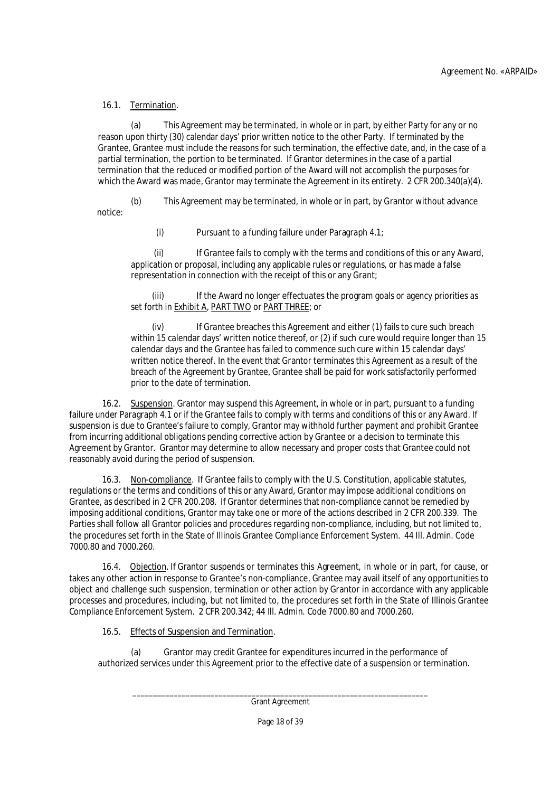# 16.1. Termination.

(a) This Agreement may be terminated, in whole or in part, by either Party for any or no reason upon thirty (30) calendar days' prior written notice to the other Party. If terminated by the Grantee, Grantee must include the reasons for such termination, the effective date, and, in the case of a partial termination, the portion to be terminated. If Grantor determines in the case of a partial termination that the reduced or modified portion of the Award will not accomplish the purposes for which the Award was made, Grantor may terminate the Agreement in its entirety. 2 CFR 200.340(a)(4).

(b) This Agreement may be terminated, in whole or in part, by Grantor without advance notice:

(i) Pursuant to a funding failure under Paragraph 4.1;

(ii) If Grantee fails to comply with the terms and conditions of this or any Award, application or proposal, including any applicable rules or regulations, or has made a false representation in connection with the receipt of this or any Grant;

(iii) If the Award no longer effectuates the program goals or agency priorities as set forth in Exhibit A, PART TWO or PART THREE; or

(iv) If Grantee breaches this Agreement and either (1) fails to cure such breach within 15 calendar days' written notice thereof, or (2) if such cure would require longer than 15 calendar days and the Grantee has failed to commence such cure within 15 calendar days' written notice thereof. In the event that Grantor terminates this Agreement as a result of the breach of the Agreement by Grantee, Grantee shall be paid for work satisfactorily performed prior to the date of termination.

16.2. Suspension. Grantor may suspend this Agreement, in whole or in part, pursuant to a funding failure under Paragraph 4.1 or if the Grantee fails to comply with terms and conditions of this or any Award. If suspension is due to Grantee's failure to comply, Grantor may withhold further payment and prohibit Grantee from incurring additional obligations pending corrective action by Grantee or a decision to terminate this Agreement by Grantor. Grantor may determine to allow necessary and proper costs that Grantee could not reasonably avoid during the period of suspension.

16.3. Non-compliance. If Grantee fails to comply with the U.S. Constitution, applicable statutes, regulations or the terms and conditions of this or any Award, Grantor may impose additional conditions on Grantee, as described in 2 CFR 200.208. If Grantor determines that non-compliance cannot be remedied by imposing additional conditions, Grantor may take one or more of the actions described in 2 CFR 200.339. The Parties shall follow all Grantor policies and procedures regarding non-compliance, including, but not limited to, the procedures set forth in the State of Illinois Grantee Compliance Enforcement System. 44 Ill. Admin. Code 7000.80 and 7000.260.

16.4. Objection. If Grantor suspends or terminates this Agreement, in whole or in part, for cause, or takes any other action in response to Grantee's non-compliance, Grantee may avail itself of any opportunities to object and challenge such suspension, termination or other action by Grantor in accordance with any applicable processes and procedures, including, but not limited to, the procedures set forth in the State of Illinois Grantee Compliance Enforcement System. 2 CFR 200.342; 44 Ill. Admin. Code 7000.80 and 7000.260.

16.5. Effects of Suspension and Termination.

(a) Grantor may credit Grantee for expenditures incurred in the performance of authorized services under this Agreement prior to the effective date of a suspension or termination.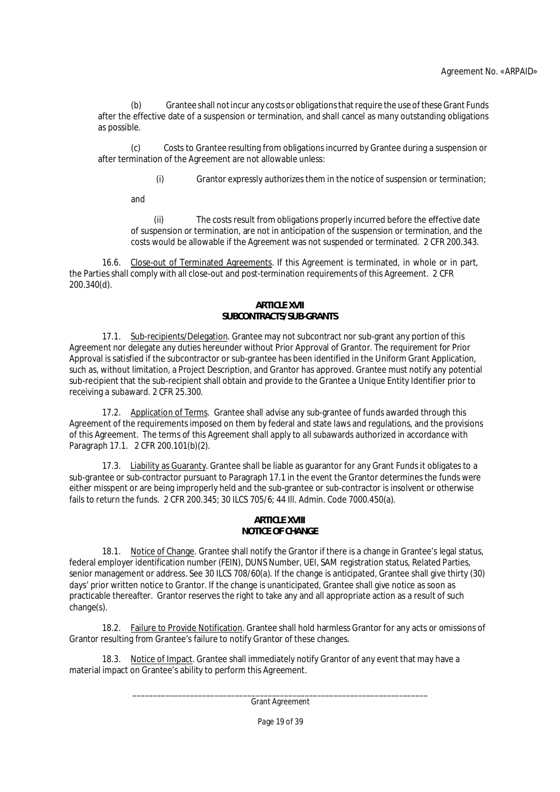(b) Grantee shall not incur any costs or obligations that require the use of these Grant Funds after the effective date of a suspension or termination, and shall cancel as many outstanding obligations as possible.

(c) Costs to Grantee resulting from obligations incurred by Grantee during a suspension or after termination of the Agreement are not allowable unless:

(i) Grantor expressly authorizes them in the notice of suspension or termination;

and

(ii) The costs result from obligations properly incurred before the effective date of suspension or termination, are not in anticipation of the suspension or termination, and the costs would be allowable if the Agreement was not suspended or terminated. 2 CFR 200.343.

16.6. Close-out of Terminated Agreements. If this Agreement is terminated, in whole or in part, the Parties shall comply with all close-out and post-termination requirements of this Agreement. 2 CFR 200.340(d).

# **ARTICLE XVII**

# **SUBCONTRACTS/SUB-GRANTS**

17.1. Sub-recipients/Delegation. Grantee may not subcontract nor sub-grant any portion of this Agreement nor delegate any duties hereunder without Prior Approval of Grantor. The requirement for Prior Approval is satisfied if the subcontractor or sub-grantee has been identified in the Uniform Grant Application, such as, without limitation, a Project Description, and Grantor has approved. Grantee must notify any potential sub-recipient that the sub-recipient shall obtain and provide to the Grantee a Unique Entity Identifier prior to receiving a subaward. 2 CFR 25.300.

17.2. Application of Terms. Grantee shall advise any sub-grantee of funds awarded through this Agreement of the requirements imposed on them by federal and state laws and regulations, and the provisions of this Agreement. The terms of this Agreement shall apply to all subawards authorized in accordance with Paragraph 17.1. 2 CFR 200.101(b)(2).

17.3. Liability as Guaranty. Grantee shall be liable as guarantor for any Grant Funds it obligates to a sub-grantee or sub-contractor pursuant to Paragraph 17.1 in the event the Grantor determines the funds were either misspent or are being improperly held and the sub-grantee or sub-contractor is insolvent or otherwise fails to return the funds. 2 CFR 200.345; 30 ILCS 705/6; 44 Ill. Admin. Code 7000.450(a).

# **ARTICLE XVIII NOTICE OF CHANGE**

18.1. Notice of Change. Grantee shall notify the Grantor if there is a change in Grantee's legal status, federal employer identification number (FEIN), DUNS Number, UEI, SAM registration status, Related Parties, senior management or address. See 30 ILCS 708/60(a). If the change is anticipated, Grantee shall give thirty (30) days' prior written notice to Grantor. If the change is unanticipated, Grantee shall give notice as soon as practicable thereafter. Grantor reserves the right to take any and all appropriate action as a result of such change(s).

18.2. Failure to Provide Notification. Grantee shall hold harmless Grantor for any acts or omissions of Grantor resulting from Grantee's failure to notify Grantor of these changes.

18.3. Notice of Impact. Grantee shall immediately notify Grantor of any event that may have a material impact on Grantee's ability to perform this Agreement.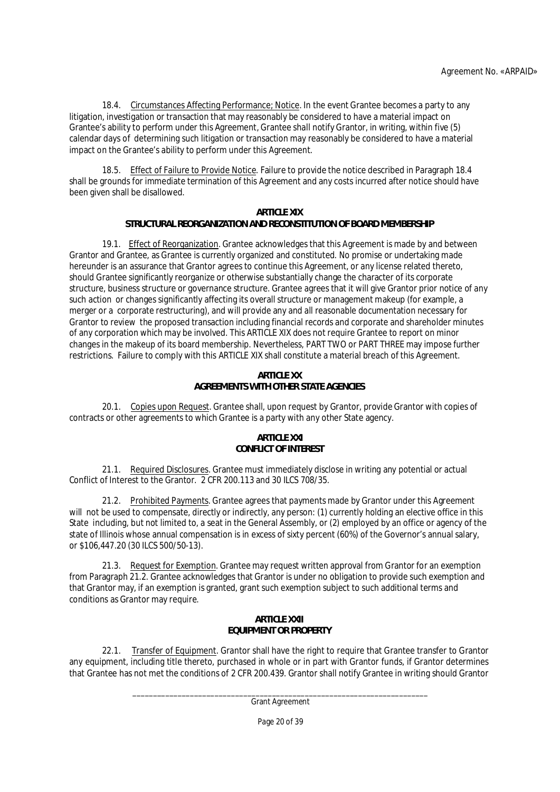18.4. Circumstances Affecting Performance; Notice. In the event Grantee becomes a party to any litigation, investigation or transaction that may reasonably be considered to have a material impact on Grantee's ability to perform under this Agreement, Grantee shall notify Grantor, in writing, within five (5) calendar days of determining such litigation or transaction may reasonably be considered to have a material impact on the Grantee's ability to perform under this Agreement.

18.5. Effect of Failure to Provide Notice. Failure to provide the notice described in Paragraph 18.4 shall be grounds for immediate termination of this Agreement and any costs incurred after notice should have been given shall be disallowed.

# **ARTICLE XIX**

# **STRUCTURAL REORGANIZATION AND RECONSTITUTION OF BOARD MEMBERSHIP**

19.1. Effect of Reorganization. Grantee acknowledges that this Agreement is made by and between Grantor and Grantee, as Grantee is currently organized and constituted. No promise or undertaking made hereunder is an assurance that Grantor agrees to continue this Agreement, or any license related thereto, should Grantee significantly reorganize or otherwise substantially change the character of its corporate structure, business structure or governance structure. Grantee agrees that it will give Grantor prior notice of any such action or changes significantly affecting its overall structure or management makeup (for example, a merger or a corporate restructuring), and will provide any and all reasonable documentation necessary for Grantor to review the proposed transaction including financial records and corporate and shareholder minutes of any corporation which may be involved. This ARTICLE XIX does not require Grantee to report on minor changes in the makeup of its board membership. Nevertheless, PART TWO or PART THREE may impose further restrictions. Failure to comply with this ARTICLE XIX shall constitute a material breach of this Agreement.

## **ARTICLE XX AGREEMENTS WITH OTHER STATE AGENCIES**

20.1. Copies upon Request. Grantee shall, upon request by Grantor, provide Grantor with copies of contracts or other agreements to which Grantee is a party with any other State agency.

## **ARTICLE XXI CONFLICT OF INTEREST**

21.1. Required Disclosures. Grantee must immediately disclose in writing any potential or actual Conflict of Interest to the Grantor. 2 CFR 200.113 and 30 ILCS 708/35.

21.2. Prohibited Payments. Grantee agrees that payments made by Grantor under this Agreement will not be used to compensate, directly or indirectly, any person: (1) currently holding an elective office in this State including, but not limited to, a seat in the General Assembly, or (2) employed by an office or agency of the state of Illinois whose annual compensation is in excess of sixty percent (60%) of the Governor's annual salary, or \$106,447.20 (30 ILCS 500/50-13).

21.3. Request for Exemption. Grantee may request written approval from Grantor for an exemption from Paragraph 21.2. Grantee acknowledges that Grantor is under no obligation to provide such exemption and that Grantor may, if an exemption is granted, grant such exemption subject to such additional terms and conditions as Grantor may require.

## **ARTICLE XXII EQUIPMENT OR PROPERTY**

22.1. Transfer of Equipment. Grantor shall have the right to require that Grantee transfer to Grantor any equipment, including title thereto, purchased in whole or in part with Grantor funds, if Grantor determines that Grantee has not met the conditions of 2 CFR 200.439. Grantor shall notify Grantee in writing should Grantor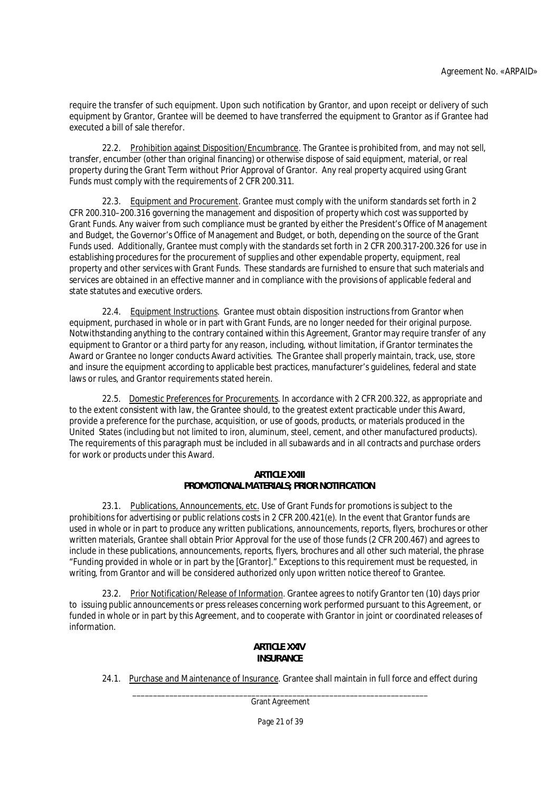require the transfer of such equipment. Upon such notification by Grantor, and upon receipt or delivery of such equipment by Grantor, Grantee will be deemed to have transferred the equipment to Grantor as if Grantee had executed a bill of sale therefor.

22.2. Prohibition against Disposition/Encumbrance. The Grantee is prohibited from, and may not sell, transfer, encumber (other than original financing) or otherwise dispose of said equipment, material, or real property during the Grant Term without Prior Approval of Grantor. Any real property acquired using Grant Funds must comply with the requirements of 2 CFR 200.311.

22.3. Equipment and Procurement. Grantee must comply with the uniform standards set forth in 2 CFR 200.310–200.316 governing the management and disposition of property which cost was supported by Grant Funds. Any waiver from such compliance must be granted by either the President's Office of Management and Budget, the Governor's Office of Management and Budget, or both, depending on the source of the Grant Funds used. Additionally, Grantee must comply with the standards set forth in 2 CFR 200.317-200.326 for use in establishing procedures for the procurement of supplies and other expendable property, equipment, real property and other services with Grant Funds. These standards are furnished to ensure that such materials and services are obtained in an effective manner and in compliance with the provisions of applicable federal and state statutes and executive orders.

22.4. Equipment Instructions. Grantee must obtain disposition instructions from Grantor when equipment, purchased in whole or in part with Grant Funds, are no longer needed for their original purpose. Notwithstanding anything to the contrary contained within this Agreement, Grantor may require transfer of any equipment to Grantor or a third party for any reason, including, without limitation, if Grantor terminates the Award or Grantee no longer conducts Award activities. The Grantee shall properly maintain, track, use, store and insure the equipment according to applicable best practices, manufacturer's guidelines, federal and state laws or rules, and Grantor requirements stated herein.

22.5. Domestic Preferences for Procurements. In accordance with 2 CFR 200.322, as appropriate and to the extent consistent with law, the Grantee should, to the greatest extent practicable under this Award, provide a preference for the purchase, acquisition, or use of goods, products, or materials produced in the United States (including but not limited to iron, aluminum, steel, cement, and other manufactured products). The requirements of this paragraph must be included in all subawards and in all contracts and purchase orders for work or products under this Award.

### **ARTICLE XXIII PROMOTIONAL MATERIALS; PRIOR NOTIFICATION**

23.1. Publications, Announcements, etc. Use of Grant Funds for promotions is subject to the prohibitions for advertising or public relations costs in 2 CFR 200.421(e). In the event that Grantor funds are used in whole or in part to produce any written publications, announcements, reports, flyers, brochures or other written materials, Grantee shall obtain Prior Approval for the use of those funds (2 CFR 200.467) and agrees to include in these publications, announcements, reports, flyers, brochures and all other such material, the phrase "Funding provided in whole or in part by the [Grantor]." Exceptions to this requirement must be requested, in writing, from Grantor and will be considered authorized only upon written notice thereof to Grantee.

23.2. Prior Notification/Release of Information. Grantee agrees to notify Grantor ten (10) days prior to issuing public announcements or press releases concerning work performed pursuant to this Agreement, or funded in whole or in part by this Agreement, and to cooperate with Grantor in joint or coordinated releases of information.

# **ARTICLE XXIV INSURANCE**

24.1. Purchase and Maintenance of Insurance. Grantee shall maintain in full force and effect during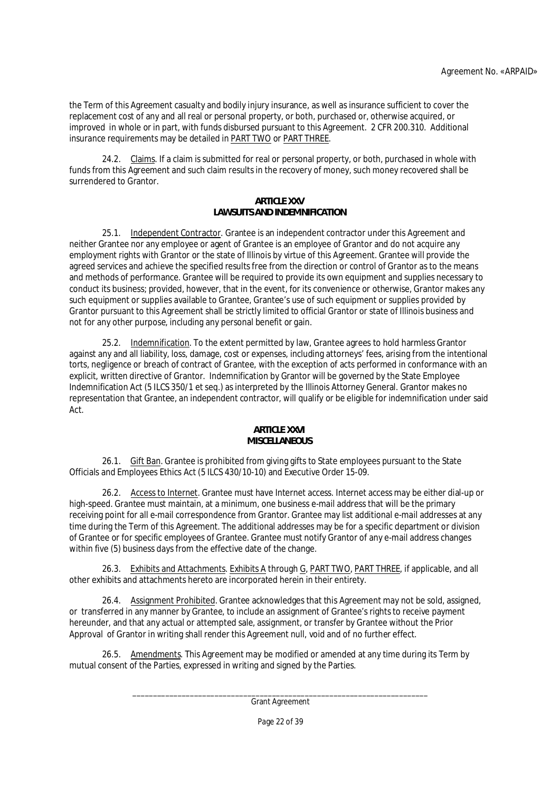the Term of this Agreement casualty and bodily injury insurance, as well as insurance sufficient to cover the replacement cost of any and all real or personal property, or both, purchased or, otherwise acquired, or improved in whole or in part, with funds disbursed pursuant to this Agreement. 2 CFR 200.310. Additional insurance requirements may be detailed in PART TWO or PART THREE.

24.2. Claims. If a claim is submitted for real or personal property, or both, purchased in whole with funds from this Agreement and such claim results in the recovery of money, such money recovered shall be surrendered to Grantor.

# **ARTICLE XXV LAWSUITS AND INDEMNIFICATION**

25.1. Independent Contractor. Grantee is an independent contractor under this Agreement and neither Grantee nor any employee or agent of Grantee is an employee of Grantor and do not acquire any employment rights with Grantor or the state of Illinois by virtue of this Agreement. Grantee will provide the agreed services and achieve the specified results free from the direction or control of Grantor as to the means and methods of performance. Grantee will be required to provide its own equipment and supplies necessary to conduct its business; provided, however, that in the event, for its convenience or otherwise, Grantor makes any such equipment or supplies available to Grantee, Grantee's use of such equipment or supplies provided by Grantor pursuant to this Agreement shall be strictly limited to official Grantor or state of Illinois business and not for any other purpose, including any personal benefit or gain.

25.2. Indemnification. To the extent permitted by law, Grantee agrees to hold harmless Grantor against any and all liability, loss, damage, cost or expenses, including attorneys' fees, arising from the intentional torts, negligence or breach of contract of Grantee, with the exception of acts performed in conformance with an explicit, written directive of Grantor. Indemnification by Grantor will be governed by the State Employee Indemnification Act (5 ILCS 350/1 et seq.) as interpreted by the Illinois Attorney General. Grantor makes no representation that Grantee, an independent contractor, will qualify or be eligible for indemnification under said Act.

# **ARTICLE XXVI MISCELLANEOUS**

26.1. Gift Ban. Grantee is prohibited from giving gifts to State employees pursuant to the State Officials and Employees Ethics Act (5 ILCS 430/10-10) and Executive Order 15-09.

26.2. Access to Internet. Grantee must have Internet access. Internet access may be either dial-up or high-speed. Grantee must maintain, at a minimum, one business e-mail address that will be the primary receiving point for all e-mail correspondence from Grantor. Grantee may list additional e-mail addresses at any time during the Term of this Agreement. The additional addresses may be for a specific department or division of Grantee or for specific employees of Grantee. Grantee must notify Grantor of any e-mail address changes within five (5) business days from the effective date of the change.

26.3. Exhibits and Attachments. Exhibits A through G, PART TWO, PART THREE, if applicable, and all other exhibits and attachments hereto are incorporated herein in their entirety.

26.4. Assignment Prohibited. Grantee acknowledges that this Agreement may not be sold, assigned, or transferred in any manner by Grantee, to include an assignment of Grantee's rights to receive payment hereunder, and that any actual or attempted sale, assignment, or transfer by Grantee without the Prior Approval of Grantor in writing shall render this Agreement null, void and of no further effect.

26.5. Amendments. This Agreement may be modified or amended at any time during its Term by mutual consent of the Parties, expressed in writing and signed by the Parties.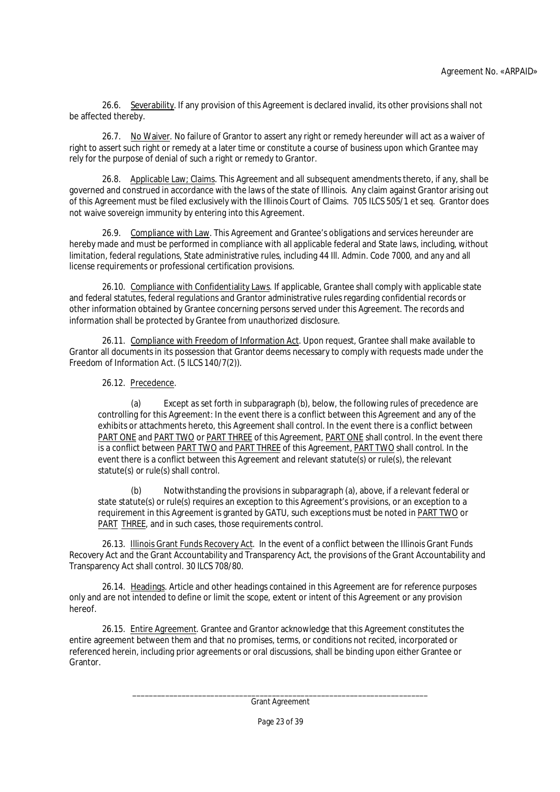26.6. Severability. If any provision of this Agreement is declared invalid, its other provisions shall not be affected thereby.

26.7. No Waiver. No failure of Grantor to assert any right or remedy hereunder will act as a waiver of right to assert such right or remedy at a later time or constitute a course of business upon which Grantee may rely for the purpose of denial of such a right or remedy to Grantor.

26.8. Applicable Law; Claims. This Agreement and all subsequent amendments thereto, if any, shall be governed and construed in accordance with the laws of the state of Illinois. Any claim against Grantor arising out of this Agreement must be filed exclusively with the Illinois Court of Claims. 705 ILCS 505/1 et seq. Grantor does not waive sovereign immunity by entering into this Agreement.

26.9. Compliance with Law. This Agreement and Grantee's obligations and services hereunder are hereby made and must be performed in compliance with all applicable federal and State laws, including, without limitation, federal regulations, State administrative rules, including 44 Ill. Admin. Code 7000, and any and all license requirements or professional certification provisions.

26.10. Compliance with Confidentiality Laws. If applicable, Grantee shall comply with applicable state and federal statutes, federal regulations and Grantor administrative rules regarding confidential records or other information obtained by Grantee concerning persons served under this Agreement. The records and information shall be protected by Grantee from unauthorized disclosure.

26.11. Compliance with Freedom of Information Act. Upon request, Grantee shall make available to Grantor all documents in its possession that Grantor deems necessary to comply with requests made under the Freedom of Information Act. (5 ILCS 140/7(2)).

# 26.12. Precedence.

(a) Except as set forth in subparagraph (b), below, the following rules of precedence are controlling for this Agreement: In the event there is a conflict between this Agreement and any of the exhibits or attachments hereto, this Agreement shall control. In the event there is a conflict between PART ONE and PART TWO or PART THREE of this Agreement, PART ONE shall control. In the event there is a conflict between PART TWO and PART THREE of this Agreement, PART TWO shall control. In the event there is a conflict between this Agreement and relevant statute(s) or rule(s), the relevant statute(s) or rule(s) shall control.

(b) Notwithstanding the provisions in subparagraph (a), above, if a relevant federal or state statute(s) or rule(s) requires an exception to this Agreement's provisions, or an exception to a requirement in this Agreement is granted by GATU, such exceptions must be noted in PART TWO or PART THREE, and in such cases, those requirements control.

26.13. Illinois Grant Funds Recovery Act. In the event of a conflict between the Illinois Grant Funds Recovery Act and the Grant Accountability and Transparency Act, the provisions of the Grant Accountability and Transparency Act shall control. 30 ILCS 708/80.

26.14. Headings. Article and other headings contained in this Agreement are for reference purposes only and are not intended to define or limit the scope, extent or intent of this Agreement or any provision hereof.

26.15. Entire Agreement. Grantee and Grantor acknowledge that this Agreement constitutes the entire agreement between them and that no promises, terms, or conditions not recited, incorporated or referenced herein, including prior agreements or oral discussions, shall be binding upon either Grantee or Grantor.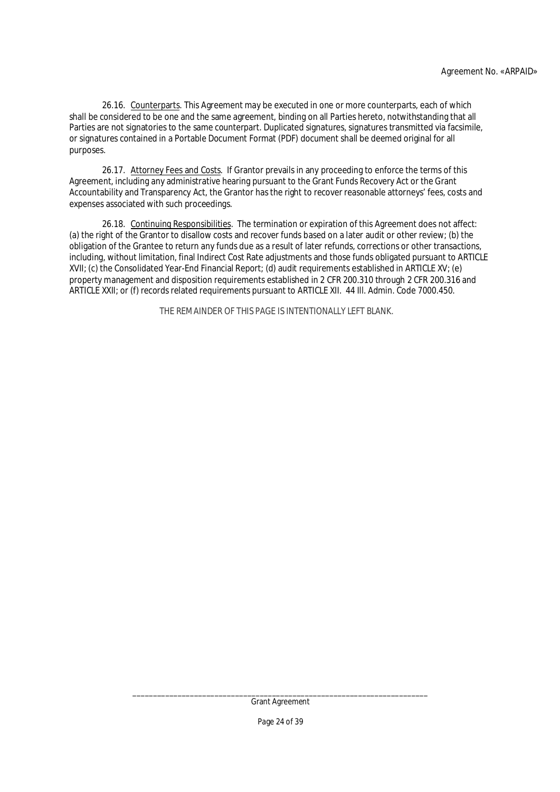26.16. Counterparts. This Agreement may be executed in one or more counterparts, each of which shall be considered to be one and the same agreement, binding on all Parties hereto, notwithstanding that all Parties are not signatories to the same counterpart. Duplicated signatures, signatures transmitted via facsimile, or signatures contained in a Portable Document Format (PDF) document shall be deemed original for all purposes.

26.17. Attorney Fees and Costs. If Grantor prevails in any proceeding to enforce the terms of this Agreement, including any administrative hearing pursuant to the Grant Funds Recovery Act or the Grant Accountability and Transparency Act, the Grantor has the right to recover reasonable attorneys' fees, costs and expenses associated with such proceedings.

26.18. Continuing Responsibilities. The termination or expiration of this Agreement does not affect: (a) the right of the Grantor to disallow costs and recover funds based on a later audit or other review; (b) the obligation of the Grantee to return any funds due as a result of later refunds, corrections or other transactions, including, without limitation, final Indirect Cost Rate adjustments and those funds obligated pursuant to ARTICLE XVII; (c) the Consolidated Year-End Financial Report; (d) audit requirements established in ARTICLE XV; (e) property management and disposition requirements established in 2 CFR 200.310 through 2 CFR 200.316 and ARTICLE XXII; or (f) records related requirements pursuant to ARTICLE XII. 44 Ill. Admin. Code 7000.450.

THE REMAINDER OF THIS PAGE IS INTENTIONALLY LEFT BLANK.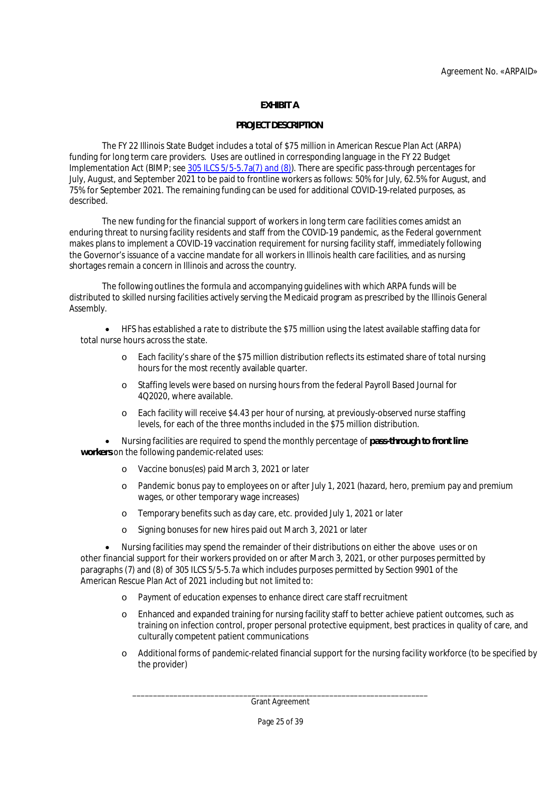# **EXHIBIT A**

# **PROJECT DESCRIPTION**

The FY 22 Illinois State Budget includes a total of \$75 million in American Rescue Plan Act (ARPA) funding for long term care providers. Uses are outlined in corresponding language in the FY 22 Budget Implementation Act (BIMP; see 305 ILCS 5/5-5.7a(7) and (8)). There are specific pass-through percentages for July, August, and September 2021 to be paid to frontline workers as follows: 50% for July, 62.5% for August, and 75% for September 2021. The remaining funding can be used for additional COVID-19-related purposes, as described.

The new funding for the financial support of workers in long term care facilities comes amidst an enduring threat to nursing facility residents and staff from the COVID-19 pandemic, as the Federal government makes plans to implement a COVID-19 vaccination requirement for nursing facility staff, immediately following the Governor's issuance of a vaccine mandate for all workers in Illinois health care facilities, and as nursing shortages remain a concern in Illinois and across the country.

The following outlines the formula and accompanying guidelines with which ARPA funds will be distributed to skilled nursing facilities actively serving the Medicaid program as prescribed by the Illinois General Assembly.

 HFS has established a rate to distribute the \$75 million using the latest available staffing data for total nurse hours across the state.

- o Each facility's share of the \$75 million distribution reflects its estimated share of total nursing hours for the most recently available quarter.
- o Staffing levels were based on nursing hours from the federal Payroll Based Journal for 4Q2020, where available.
- o Each facility will receive \$4.43 per hour of nursing, at previously-observed nurse staffing levels, for each of the three months included in the \$75 million distribution.

 Nursing facilities are required to spend the monthly percentage of **pass-through to front line workers** on the following pandemic-related uses:

- o Vaccine bonus(es) paid March 3, 2021 or later
- o Pandemic bonus pay to employees on or after July 1, 2021 (hazard, hero, premium pay and premium wages, or other temporary wage increases)
- o Temporary benefits such as day care, etc. provided July 1, 2021 or later
- o Signing bonuses for new hires paid out March 3, 2021 or later

 Nursing facilities may spend the remainder of their distributions on either the above uses or on other financial support for their workers provided on or after March 3, 2021, or other purposes permitted by paragraphs (7) and (8) of 305 ILCS 5/5-5.7a which includes purposes permitted by Section 9901 of the American Rescue Plan Act of 2021 including but not limited to:

- o Payment of education expenses to enhance direct care staff recruitment
- o Enhanced and expanded training for nursing facility staff to better achieve patient outcomes, such as training on infection control, proper personal protective equipment, best practices in quality of care, and culturally competent patient communications
- o Additional forms of pandemic-related financial support for the nursing facility workforce (to be specified by the provider)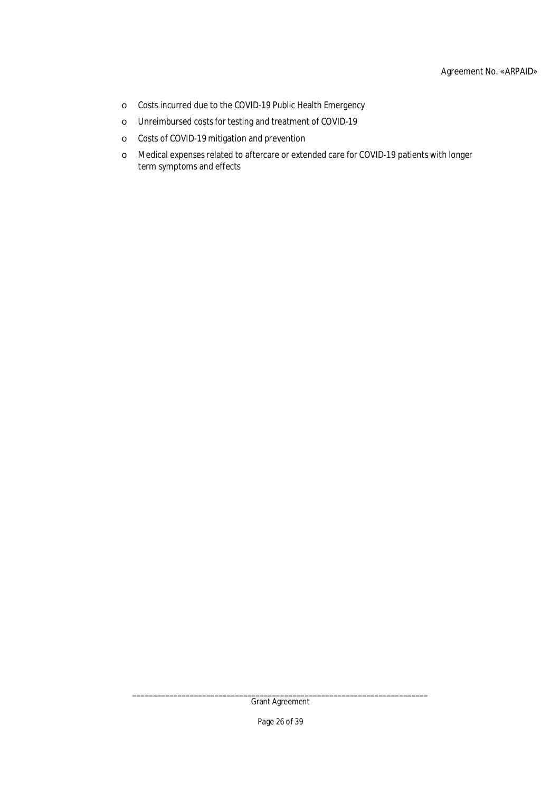- o Costs incurred due to the COVID-19 Public Health Emergency
- o Unreimbursed costs for testing and treatment of COVID-19
- o Costs of COVID-19 mitigation and prevention
- o Medical expenses related to aftercare or extended care for COVID-19 patients with longer term symptoms and effects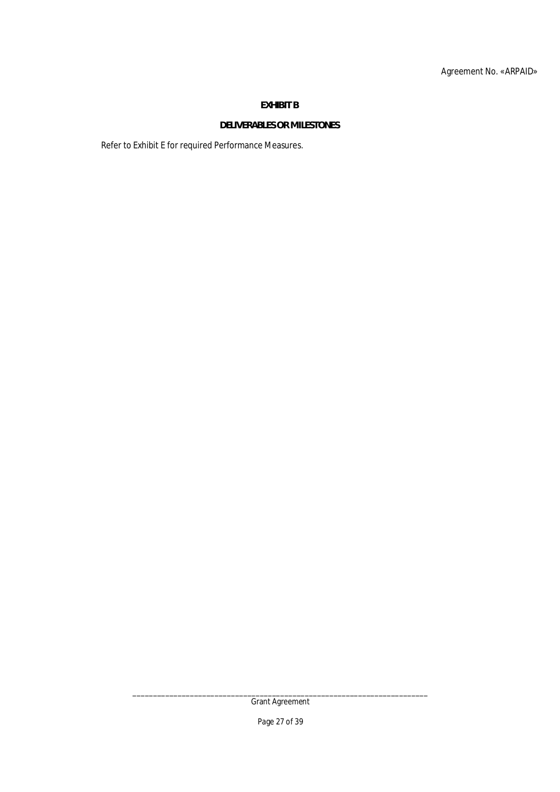# **EXHIBIT B**

# **DELIVERABLES OR MILESTONES**

Refer to Exhibit E for required Performance Measures.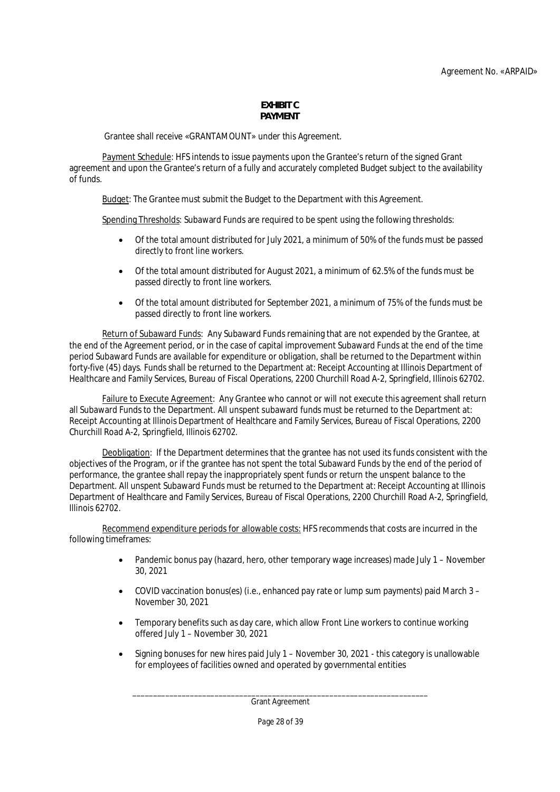#### **EXHIBIT C PAYMENT**

Grantee shall receive «GRANTAMOUNT» under this Agreement.

Payment Schedule: HFS intends to issue payments upon the Grantee's return of the signed Grant agreement and upon the Grantee's return of a fully and accurately completed Budget subject to the availability of funds.

Budget: The Grantee must submit the Budget to the Department with this Agreement.

Spending Thresholds: Subaward Funds are required to be spent using the following thresholds:

- Of the total amount distributed for July 2021, a minimum of 50% of the funds must be passed directly to front line workers.
- Of the total amount distributed for August 2021, a minimum of 62.5% of the funds must be passed directly to front line workers.
- Of the total amount distributed for September 2021, a minimum of 75% of the funds must be passed directly to front line workers.

Return of Subaward Funds: Any Subaward Funds remaining that are not expended by the Grantee, at the end of the Agreement period, or in the case of capital improvement Subaward Funds at the end of the time period Subaward Funds are available for expenditure or obligation, shall be returned to the Department within forty-five (45) days. Funds shall be returned to the Department at: Receipt Accounting at Illinois Department of Healthcare and Family Services, Bureau of Fiscal Operations, 2200 Churchill Road A-2, Springfield, Illinois 62702.

Failure to Execute Agreement: Any Grantee who cannot or will not execute this agreement shall return all Subaward Funds to the Department. All unspent subaward funds must be returned to the Department at: Receipt Accounting at Illinois Department of Healthcare and Family Services, Bureau of Fiscal Operations, 2200 Churchill Road A-2, Springfield, Illinois 62702.

Deobligation: If the Department determines that the grantee has not used its funds consistent with the objectives of the Program, or if the grantee has not spent the total Subaward Funds by the end of the period of performance, the grantee shall repay the inappropriately spent funds or return the unspent balance to the Department. All unspent Subaward Funds must be returned to the Department at: Receipt Accounting at Illinois Department of Healthcare and Family Services, Bureau of Fiscal Operations, 2200 Churchill Road A-2, Springfield, Illinois 62702.

Recommend expenditure periods for allowable costs: HFS recommends that costs are incurred in the following timeframes:

- Pandemic bonus pay (hazard, hero, other temporary wage increases) made July 1 November 30, 2021
- COVID vaccination bonus(es) (i.e., enhanced pay rate or lump sum payments) paid March 3 November 30, 2021
- Temporary benefits such as day care, which allow Front Line workers to continue working offered July 1 – November 30, 2021
- Signing bonuses for new hires paid July 1 November 30, 2021 this category is unallowable for employees of facilities owned and operated by governmental entities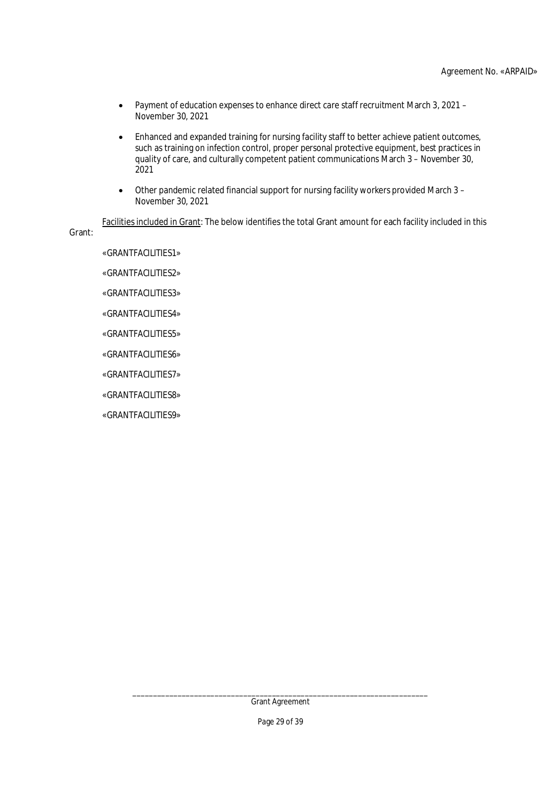- Payment of education expenses to enhance direct care staff recruitment March 3, 2021 November 30, 2021
- Enhanced and expanded training for nursing facility staff to better achieve patient outcomes, such as training on infection control, proper personal protective equipment, best practices in quality of care, and culturally competent patient communications March 3 – November 30, 2021
- Other pandemic related financial support for nursing facility workers provided March 3 November 30, 2021

Facilities included in Grant: The below identifies the total Grant amount for each facility included in this Grant:

«GRANTFACILITIES1»

«GRANTFACILITIES2»

«GRANTFACILITIES3»

«GRANTFACILITIES4»

«GRANTFACILITIES5»

«GRANTFACILITIES6»

«GRANTFACILITIES7»

«GRANTFACILITIES8»

«GRANTFACILITIES9»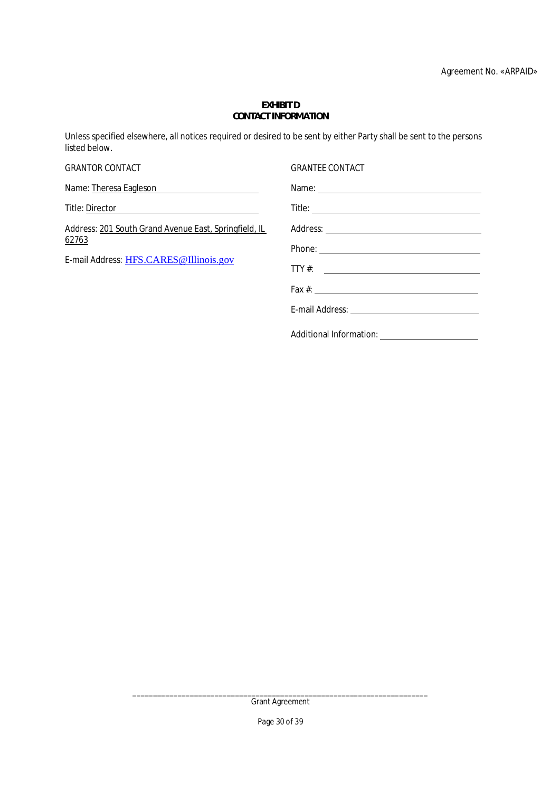#### **EXHIBIT D CONTACT INFORMATION**

Unless specified elsewhere, all notices required or desired to be sent by either Party shall be sent to the persons listed below.

| <b>GRANTOR CONTACT</b>                                                                                   | <b>GRANTEE CONTACT</b>                                                                                                                                                                                                         |
|----------------------------------------------------------------------------------------------------------|--------------------------------------------------------------------------------------------------------------------------------------------------------------------------------------------------------------------------------|
| Name: Theresa Eagleson                                                                                   |                                                                                                                                                                                                                                |
|                                                                                                          |                                                                                                                                                                                                                                |
| Address: 201 South Grand Avenue East, Springfield, IL<br>62763<br>E-mail Address: HFS.CARES@Illinois.gov |                                                                                                                                                                                                                                |
|                                                                                                          | Phone: Note: 2008 and 2008 and 2008 and 2008 and 2008 and 2008 and 2008 and 2008 and 2008 and 2008 and 2008 and 2008 and 2008 and 2008 and 2008 and 2008 and 2008 and 2008 and 2008 and 2008 and 2008 and 2008 and 2008 and 20 |
|                                                                                                          | TTY #: $\qquad \qquad$                                                                                                                                                                                                         |
|                                                                                                          |                                                                                                                                                                                                                                |
|                                                                                                          |                                                                                                                                                                                                                                |
|                                                                                                          |                                                                                                                                                                                                                                |

Additional Information: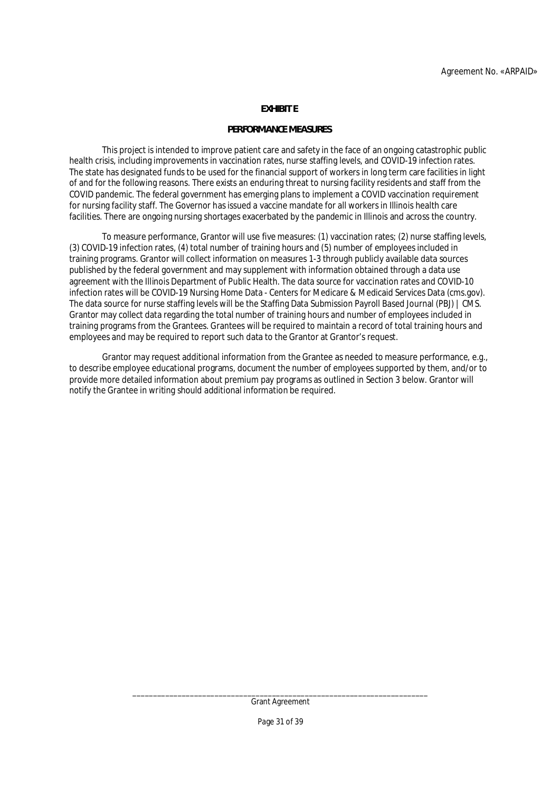## **EXHIBIT E**

#### **PERFORMANCE MEASURES**

This project is intended to improve patient care and safety in the face of an ongoing catastrophic public health crisis, including improvements in vaccination rates, nurse staffing levels, and COVID-19 infection rates. The state has designated funds to be used for the financial support of workers in long term care facilities in light of and for the following reasons. There exists an enduring threat to nursing facility residents and staff from the COVID pandemic. The federal government has emerging plans to implement a COVID vaccination requirement for nursing facility staff. The Governor has issued a vaccine mandate for all workers in Illinois health care facilities. There are ongoing nursing shortages exacerbated by the pandemic in Illinois and across the country.

To measure performance, Grantor will use five measures: (1) vaccination rates; (2) nurse staffing levels, (3) COVID-19 infection rates, (4) total number of training hours and (5) number of employees included in training programs. Grantor will collect information on measures 1-3 through publicly available data sources published by the federal government and may supplement with information obtained through a data use agreement with the Illinois Department of Public Health. The data source for vaccination rates and COVID-10 infection rates will be COVID-19 Nursing Home Data - Centers for Medicare & Medicaid Services Data (cms.gov). The data source for nurse staffing levels will be the Staffing Data Submission Payroll Based Journal (PBJ) | CMS. Grantor may collect data regarding the total number of training hours and number of employees included in training programs from the Grantees. Grantees will be required to maintain a record of total training hours and employees and may be required to report such data to the Grantor at Grantor's request.

Grantor may request additional information from the Grantee as needed to measure performance, e.g., to describe employee educational programs, document the number of employees supported by them, and/or to provide more detailed information about premium pay programs as outlined in Section 3 below. Grantor will notify the Grantee in writing should additional information be required.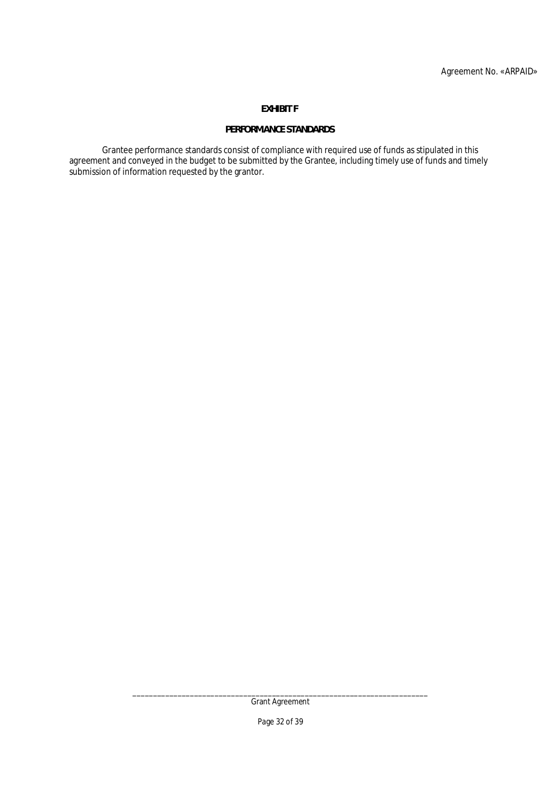# **EXHIBIT F**

# **PERFORMANCE STANDARDS**

Grantee performance standards consist of compliance with required use of funds as stipulated in this agreement and conveyed in the budget to be submitted by the Grantee, including timely use of funds and timely submission of information requested by the grantor.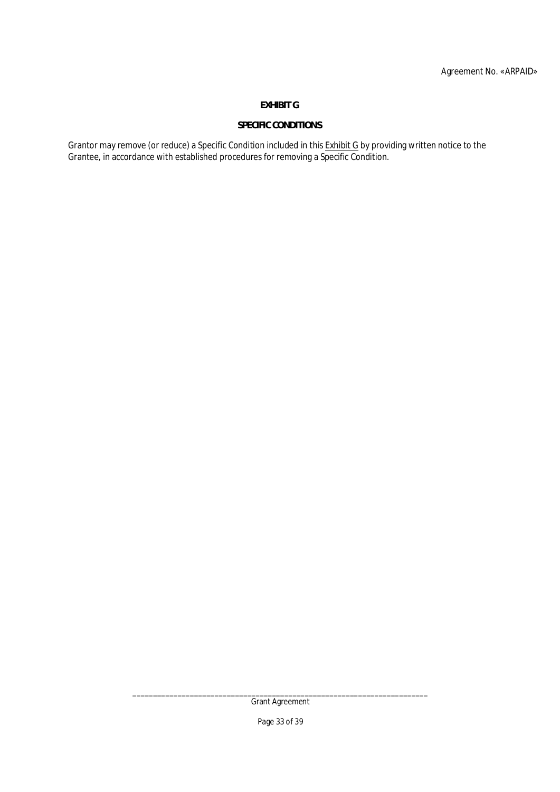# **EXHIBIT G**

# **SPECIFIC CONDITIONS**

Grantor may remove (or reduce) a Specific Condition included in this <u>Exhibit G</u> by providing written notice to the Grantee, in accordance with established procedures for removing a Specific Condition.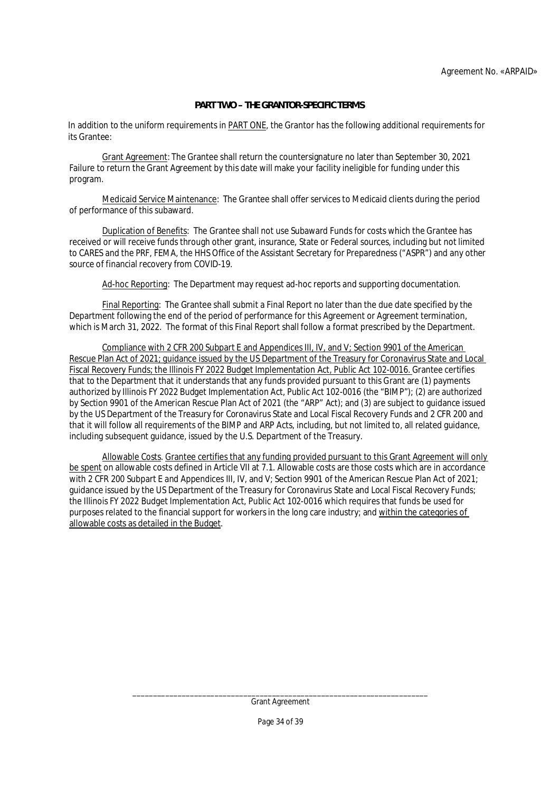## **PART TWO – THE GRANTOR-SPECIFIC TERMS**

In addition to the uniform requirements in PART ONE, the Grantor has the following additional requirements for its Grantee:

Grant Agreement: The Grantee shall return the countersignature no later than September 30, 2021 Failure to return the Grant Agreement by this date will make your facility ineligible for funding under this program.

Medicaid Service Maintenance: The Grantee shall offer services to Medicaid clients during the period of performance of this subaward.

Duplication of Benefits: The Grantee shall not use Subaward Funds for costs which the Grantee has received or will receive funds through other grant, insurance, State or Federal sources, including but not limited to CARES and the PRF, FEMA, the HHS Office of the Assistant Secretary for Preparedness ("ASPR") and any other source of financial recovery from COVID-19.

Ad-hoc Reporting: The Department may request ad-hoc reports and supporting documentation.

Final Reporting: The Grantee shall submit a Final Report no later than the due date specified by the Department following the end of the period of performance for this Agreement or Agreement termination, which is March 31, 2022. The format of this Final Report shall follow a format prescribed by the Department.

Compliance with 2 CFR 200 Subpart E and Appendices III, IV, and V; Section 9901 of the American Rescue Plan Act of 2021; guidance issued by the US Department of the Treasury for Coronavirus State and Local Fiscal Recovery Funds; the Illinois FY 2022 Budget Implementation Act, Public Act 102-0016. Grantee certifies that to the Department that it understands that any funds provided pursuant to this Grant are (1) payments authorized by Illinois FY 2022 Budget Implementation Act, Public Act 102-0016 (the "BIMP"); (2) are authorized by Section 9901 of the American Rescue Plan Act of 2021 (the "ARP" Act); and (3) are subject to guidance issued by the US Department of the Treasury for Coronavirus State and Local Fiscal Recovery Funds and 2 CFR 200 and that it will follow all requirements of the BIMP and ARP Acts, including, but not limited to, all related guidance, including subsequent guidance, issued by the U.S. Department of the Treasury.

Allowable Costs. Grantee certifies that any funding provided pursuant to this Grant Agreement will only be spent on allowable costs defined in Article VII at 7.1. Allowable costs are those costs which are in accordance with 2 CFR 200 Subpart E and Appendices III, IV, and V; Section 9901 of the American Rescue Plan Act of 2021; guidance issued by the US Department of the Treasury for Coronavirus State and Local Fiscal Recovery Funds; the Illinois FY 2022 Budget Implementation Act, Public Act 102-0016 which requires that funds be used for purposes related to the financial support for workers in the long care industry; and within the categories of allowable costs as detailed in the Budget.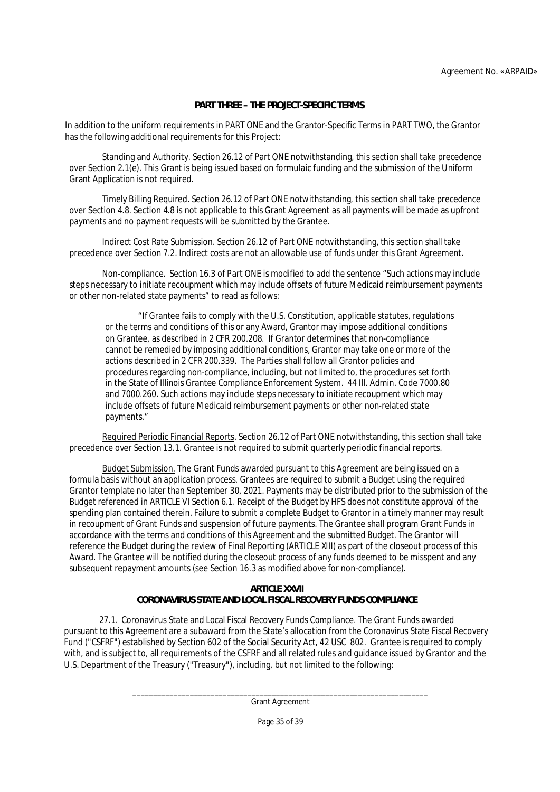# **PART THREE – THE PROJECT-SPECIFIC TERMS**

In addition to the uniform requirements in PART ONE and the Grantor-Specific Terms in PART TWO, the Grantor has the following additional requirements for this Project:

Standing and Authority. Section 26.12 of Part ONE notwithstanding, this section shall take precedence over Section 2.1(e). This Grant is being issued based on formulaic funding and the submission of the Uniform Grant Application is not required.

Timely Billing Required. Section 26.12 of Part ONE notwithstanding, this section shall take precedence over Section 4.8. Section 4.8 is not applicable to this Grant Agreement as all payments will be made as upfront payments and no payment requests will be submitted by the Grantee.

Indirect Cost Rate Submission. Section 26.12 of Part ONE notwithstanding, this section shall take precedence over Section 7.2. Indirect costs are not an allowable use of funds under this Grant Agreement.

Non-compliance. Section 16.3 of Part ONE is modified to add the sentence "Such actions may include steps necessary to initiate recoupment which may include offsets of future Medicaid reimbursement payments or other non-related state payments" to read as follows:

"If Grantee fails to comply with the U.S. Constitution, applicable statutes, regulations or the terms and conditions of this or any Award, Grantor may impose additional conditions on Grantee, as described in 2 CFR 200.208. If Grantor determines that non-compliance cannot be remedied by imposing additional conditions, Grantor may take one or more of the actions described in 2 CFR 200.339. The Parties shall follow all Grantor policies and procedures regarding non-compliance, including, but not limited to, the procedures set forth in the State of Illinois Grantee Compliance Enforcement System. 44 Ill. Admin. Code 7000.80 and 7000.260. Such actions may include steps necessary to initiate recoupment which may include offsets of future Medicaid reimbursement payments or other non-related state payments."

Required Periodic Financial Reports. Section 26.12 of Part ONE notwithstanding, this section shall take precedence over Section 13.1. Grantee is not required to submit quarterly periodic financial reports.

Budget Submission. The Grant Funds awarded pursuant to this Agreement are being issued on a formula basis without an application process. Grantees are required to submit a Budget using the required Grantor template no later than September 30, 2021. Payments may be distributed prior to the submission of the Budget referenced in ARTICLE VI Section 6.1. Receipt of the Budget by HFS does not constitute approval of the spending plan contained therein. Failure to submit a complete Budget to Grantor in a timely manner may result in recoupment of Grant Funds and suspension of future payments. The Grantee shall program Grant Funds in accordance with the terms and conditions of this Agreement and the submitted Budget. The Grantor will reference the Budget during the review of Final Reporting (ARTICLE XIII) as part of the closeout process of this Award. The Grantee will be notified during the closeout process of any funds deemed to be misspent and any subsequent repayment amounts (see Section 16.3 as modified above for non-compliance).

# **ARTICLE XXVII**

# **CORONAVIRUS STATE AND LOCAL FISCAL RECOVERY FUNDS COMPLIANCE**

 27.1. Coronavirus State and Local Fiscal Recovery Funds Compliance. The Grant Funds awarded pursuant to this Agreement are a subaward from the State's allocation from the Coronavirus State Fiscal Recovery Fund ("CSFRF") established by Section 602 of the Social Security Act, 42 USC 802. Grantee is required to comply with, and is subject to, all requirements of the CSFRF and all related rules and guidance issued by Grantor and the U.S. Department of the Treasury ("Treasury"), including, but not limited to the following: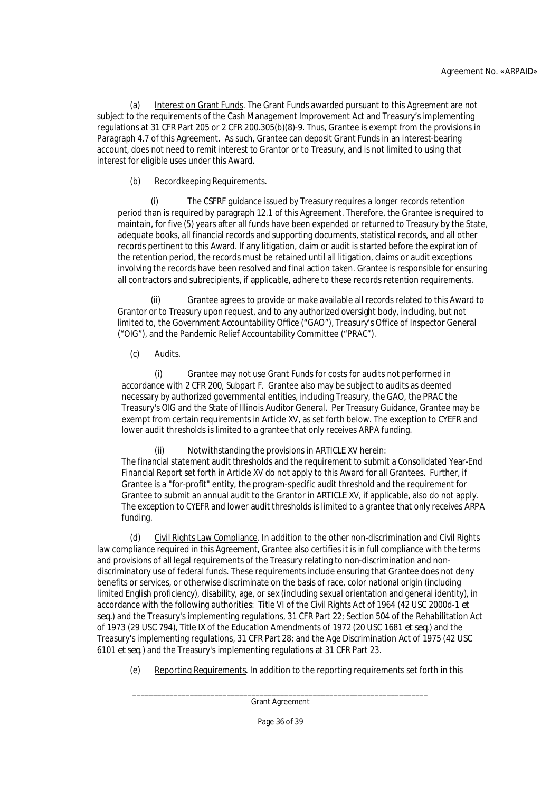(a) Interest on Grant Funds. The Grant Funds awarded pursuant to this Agreement are not subject to the requirements of the Cash Management Improvement Act and Treasury's implementing regulations at 31 CFR Part 205 or 2 CFR 200.305(b)(8)-9. Thus, Grantee is exempt from the provisions in Paragraph 4.7 of this Agreement. As such, Grantee can deposit Grant Funds in an interest-bearing account, does not need to remit interest to Grantor or to Treasury, and is not limited to using that interest for eligible uses under this Award.

# (b) Recordkeeping Requirements.

(i) The CSFRF guidance issued by Treasury requires a longer records retention period than is required by paragraph 12.1 of this Agreement. Therefore, the Grantee is required to maintain, for five (5) years after all funds have been expended or returned to Treasury by the State, adequate books, all financial records and supporting documents, statistical records, and all other records pertinent to this Award. If any litigation, claim or audit is started before the expiration of the retention period, the records must be retained until all litigation, claims or audit exceptions involving the records have been resolved and final action taken. Grantee is responsible for ensuring all contractors and subrecipients, if applicable, adhere to these records retention requirements.

(ii) Grantee agrees to provide or make available all records related to this Award to Grantor or to Treasury upon request, and to any authorized oversight body, including, but not limited to, the Government Accountability Office ("GAO"), Treasury's Office of Inspector General ("OIG"), and the Pandemic Relief Accountability Committee ("PRAC").

(c) Audits.

(i) Grantee may not use Grant Funds for costs for audits not performed in accordance with 2 CFR 200, Subpart F. Grantee also may be subject to audits as deemed necessary by authorized governmental entities, including Treasury, the GAO, the PRAC the Treasury's OIG and the State of Illinois Auditor General. Per Treasury Guidance, Grantee may be exempt from certain requirements in Article XV, as set forth below. The exception to CYEFR and lower audit thresholds is limited to a grantee that only receives ARPA funding.

(ii) Notwithstanding the provisions in ARTICLE XV herein: The financial statement audit thresholds and the requirement to submit a Consolidated Year-End Financial Report set forth in Article XV do not apply to this Award for all Grantees. Further, if Grantee is a "for-profit" entity, the program-specific audit threshold and the requirement for Grantee to submit an annual audit to the Grantor in ARTICLE XV, if applicable, also do not apply. The exception to CYEFR and lower audit thresholds is limited to a grantee that only receives ARPA funding.

(d) Civil Rights Law Compliance. In addition to the other non-discrimination and Civil Rights law compliance required in this Agreement, Grantee also certifies it is in full compliance with the terms and provisions of all legal requirements of the Treasury relating to non-discrimination and nondiscriminatory use of federal funds. These requirements include ensuring that Grantee does not deny benefits or services, or otherwise discriminate on the basis of race, color national origin (including limited English proficiency), disability, age, or sex (including sexual orientation and general identity), in accordance with the following authorities: Title VI of the Civil Rights Act of 1964 (42 USC 2000d-1 *et seq.*) and the Treasury's implementing regulations, 31 CFR Part 22; Section 504 of the Rehabilitation Act of 1973 (29 USC 794), Title IX of the Education Amendments of 1972 (20 USC 1681 *et seq*.) and the Treasury's implementing regulations, 31 CFR Part 28; and the Age Discrimination Act of 1975 (42 USC 6101 *et seq*.) and the Treasury's implementing regulations at 31 CFR Part 23.

(e) Reporting Requirements. In addition to the reporting requirements set forth in this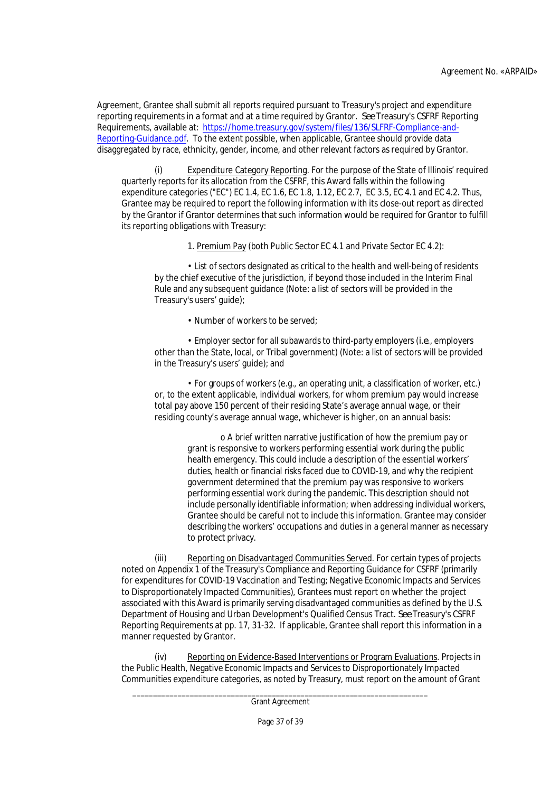Agreement, Grantee shall submit all reports required pursuant to Treasury's project and expenditure reporting requirements in a format and at a time required by Grantor. *See* Treasury's CSFRF Reporting Requirements, available at: https://home.treasury.gov/system/files/136/SLFRF-Compliance-and-Reporting-Guidance.pdf. To the extent possible, when applicable, Grantee should provide data disaggregated by race, ethnicity, gender, income, and other relevant factors as required by Grantor.

(i) Expenditure Category Reporting. For the purpose of the State of Illinois' required quarterly reports for its allocation from the CSFRF, this Award falls within the following expenditure categories ("EC") EC 1.4, EC 1.6, EC 1.8, 1.12, EC 2.7, EC 3.5, EC 4.1 and EC 4.2. Thus, Grantee may be required to report the following information with its close-out report as directed by the Grantor if Grantor determines that such information would be required for Grantor to fulfill its reporting obligations with Treasury:

1. Premium Pay (both Public Sector EC 4.1 and Private Sector EC 4.2):

• List of sectors designated as critical to the health and well-being of residents by the chief executive of the jurisdiction, if beyond those included in the Interim Final Rule and any subsequent guidance (Note: a list of sectors will be provided in the Treasury's users' guide);

• Number of workers to be served;

• Employer sector for all subawards to third-party employers (*i.e*., employers other than the State, local, or Tribal government) (Note: a list of sectors will be provided in the Treasury's users' guide); and

• For groups of workers (e.g., an operating unit, a classification of worker, etc.) or, to the extent applicable, individual workers, for whom premium pay would increase total pay above 150 percent of their residing State's average annual wage, or their residing county's average annual wage, whichever is higher, on an annual basis:

> o A brief written narrative justification of how the premium pay or grant is responsive to workers performing essential work during the public health emergency. This could include a description of the essential workers' duties, health or financial risks faced due to COVID-19, and why the recipient government determined that the premium pay was responsive to workers performing essential work during the pandemic. This description should not include personally identifiable information; when addressing individual workers, Grantee should be careful not to include this information. Grantee may consider describing the workers' occupations and duties in a general manner as necessary to protect privacy.

(iii) Reporting on Disadvantaged Communities Served. For certain types of projects noted on Appendix 1 of the Treasury's Compliance and Reporting Guidance for CSFRF (primarily for expenditures for COVID-19 Vaccination and Testing; Negative Economic Impacts and Services to Disproportionately Impacted Communities), Grantees must report on whether the project associated with this Award is primarily serving disadvantaged communities as defined by the U.S. Department of Housing and Urban Development's Qualified Census Tract. *See* Treasury's CSFRF Reporting Requirements at pp. 17, 31-32. If applicable, Grantee shall report this information in a manner requested by Grantor.

(iv) Reporting on Evidence-Based Interventions or Program Evaluations. Projects in the Public Health, Negative Economic Impacts and Services to Disproportionately Impacted Communities expenditure categories, as noted by Treasury, must report on the amount of Grant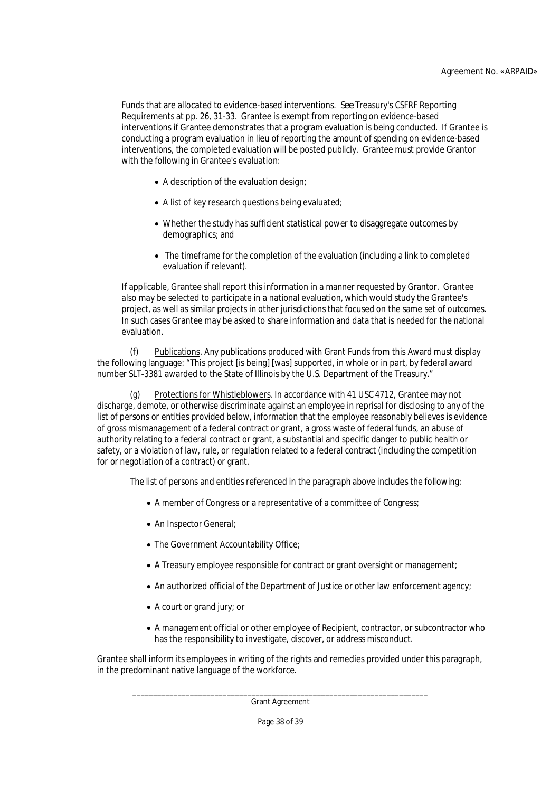Funds that are allocated to evidence-based interventions. *See* Treasury's CSFRF Reporting Requirements at pp. 26, 31-33. Grantee is exempt from reporting on evidence-based interventions if Grantee demonstrates that a program evaluation is being conducted. If Grantee is conducting a program evaluation in lieu of reporting the amount of spending on evidence-based interventions, the completed evaluation will be posted publicly. Grantee must provide Grantor with the following in Grantee's evaluation:

- A description of the evaluation design;
- A list of key research questions being evaluated;
- Whether the study has sufficient statistical power to disaggregate outcomes by demographics; and
- The timeframe for the completion of the evaluation (including a link to completed evaluation if relevant).

If applicable, Grantee shall report this information in a manner requested by Grantor. Grantee also may be selected to participate in a national evaluation, which would study the Grantee's project, as well as similar projects in other jurisdictions that focused on the same set of outcomes. In such cases Grantee may be asked to share information and data that is needed for the national evaluation.

(f) Publications. Any publications produced with Grant Funds from this Award must display the following language: "This project [is being] [was] supported, in whole or in part, by federal award number SLT-3381 awarded to the State of Illinois by the U.S. Department of the Treasury."

(g) Protections for Whistleblowers. In accordance with 41 USC 4712, Grantee may not discharge, demote, or otherwise discriminate against an employee in reprisal for disclosing to any of the list of persons or entities provided below, information that the employee reasonably believes is evidence of gross mismanagement of a federal contract or grant, a gross waste of federal funds, an abuse of authority relating to a federal contract or grant, a substantial and specific danger to public health or safety, or a violation of law, rule, or regulation related to a federal contract (including the competition for or negotiation of a contract) or grant.

The list of persons and entities referenced in the paragraph above includes the following:

- A member of Congress or a representative of a committee of Congress;
- An Inspector General;
- The Government Accountability Office;
- A Treasury employee responsible for contract or grant oversight or management;
- An authorized official of the Department of Justice or other law enforcement agency;
- A court or grand jury; or
- A management official or other employee of Recipient, contractor, or subcontractor who has the responsibility to investigate, discover, or address misconduct.

Grantee shall inform its employees in writing of the rights and remedies provided under this paragraph, in the predominant native language of the workforce.